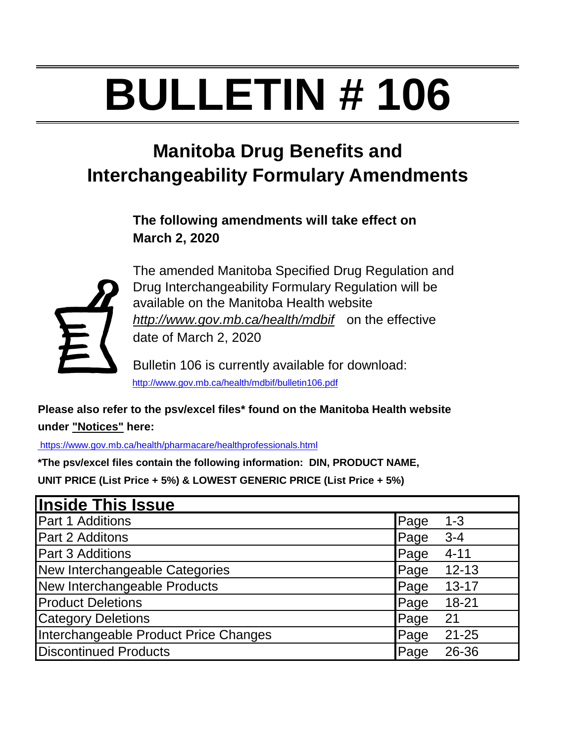# **BULLETIN # 106**

## **Manitoba Drug Benefits and Interchangeability Formulary Amendments**

**The following amendments will take effect on March 2, 2020**



The amended Manitoba Specified Drug Regulation and Drug Interchangeability Formulary Regulation will be available on the Manitoba Health website *http://www.gov.mb.ca/health/mdbif* on the effective date of March 2, 2020

Bulletin 106 is currently available for download: <http://www.gov.mb.ca/health/mdbif/bulletin106.pdf>

**Please also refer to the psv/excel files\* found on the Manitoba Health website under "Notices" here:**

<https://www.gov.mb.ca/health/pharmacare/healthprofessionals.html>

**\*The psv/excel files contain the following information: DIN, PRODUCT NAME, UNIT PRICE (List Price + 5%) & LOWEST GENERIC PRICE (List Price + 5%)**

| <b>Inside This Issue</b>              |      |           |
|---------------------------------------|------|-----------|
| Part 1 Additions                      | Page | $1 - 3$   |
| Part 2 Additons                       | Page | $3 - 4$   |
| <b>Part 3 Additions</b>               | Page | $4 - 11$  |
| New Interchangeable Categories        | Page | $12 - 13$ |
| New Interchangeable Products          | Page | $13 - 17$ |
| <b>Product Deletions</b>              | Page | $18 - 21$ |
| <b>Category Deletions</b>             | Page | 21        |
| Interchangeable Product Price Changes | Page | $21 - 25$ |
| <b>Discontinued Products</b>          | Page | 26-36     |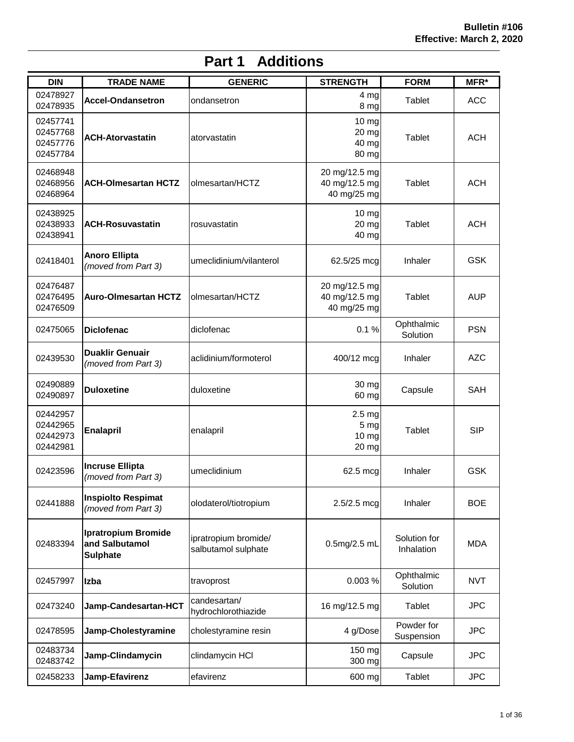| <b>DIN</b>                                   | <b>TRADE NAME</b>                                               | <b>GENERIC</b>                              | <b>STRENGTH</b>                                        | <b>FORM</b>                | MFR*       |
|----------------------------------------------|-----------------------------------------------------------------|---------------------------------------------|--------------------------------------------------------|----------------------------|------------|
| 02478927<br>02478935                         | <b>Accel-Ondansetron</b>                                        | ondansetron                                 | 4 <sub>mg</sub><br>8 mg                                | Tablet                     | <b>ACC</b> |
| 02457741<br>02457768<br>02457776<br>02457784 | <b>ACH-Atorvastatin</b>                                         | atorvastatin                                | 10 mg<br>20 mg<br>40 mg<br>80 mg                       | Tablet                     | <b>ACH</b> |
| 02468948<br>02468956<br>02468964             | <b>ACH-Olmesartan HCTZ</b>                                      | olmesartan/HCTZ                             | 20 mg/12.5 mg<br>40 mg/12.5 mg<br>40 mg/25 mg          | Tablet                     | <b>ACH</b> |
| 02438925<br>02438933<br>02438941             | <b>ACH-Rosuvastatin</b>                                         | rosuvastatin                                | 10 mg<br>20 mg<br>40 mg                                | Tablet                     | <b>ACH</b> |
| 02418401                                     | <b>Anoro Ellipta</b><br>(moved from Part 3)                     | umeclidinium/vilanterol                     | 62.5/25 mcg                                            | Inhaler                    | <b>GSK</b> |
| 02476487<br>02476495<br>02476509             | <b>Auro-Olmesartan HCTZ</b>                                     | olmesartan/HCTZ                             | 20 mg/12.5 mg<br>40 mg/12.5 mg<br>40 mg/25 mg          | Tablet                     | <b>AUP</b> |
| 02475065                                     | <b>Diclofenac</b>                                               | diclofenac                                  | 0.1%                                                   | Ophthalmic<br>Solution     | <b>PSN</b> |
| 02439530                                     | <b>Duaklir Genuair</b><br>(moved from Part 3)                   | aclidinium/formoterol                       | 400/12 mcg                                             | Inhaler                    | <b>AZC</b> |
| 02490889<br>02490897                         | <b>Duloxetine</b>                                               | duloxetine                                  | 30 mg<br>60 mg                                         | Capsule                    | <b>SAH</b> |
| 02442957<br>02442965<br>02442973<br>02442981 | <b>Enalapril</b>                                                | enalapril                                   | 2.5 <sub>mg</sub><br>5 <sub>mg</sub><br>10 mg<br>20 mg | Tablet                     | <b>SIP</b> |
| 02423596                                     | <b>Incruse Ellipta</b><br>(moved from Part 3)                   | umeclidinium                                | 62.5 mcg                                               | <b>Inhaler</b>             | <b>GSK</b> |
| 02441888                                     | <b>Inspiolto Respimat</b><br>(moved from Part 3)                | olodaterol/tiotropium                       | $2.5/2.5$ mcg                                          | Inhaler                    | <b>BOE</b> |
| 02483394                                     | <b>Ipratropium Bromide</b><br>and Salbutamol<br><b>Sulphate</b> | ipratropium bromide/<br>salbutamol sulphate | 0.5mg/2.5 mL                                           | Solution for<br>Inhalation | <b>MDA</b> |
| 02457997                                     | Izba                                                            | travoprost                                  | 0.003 %                                                | Ophthalmic<br>Solution     | <b>NVT</b> |
| 02473240                                     | Jamp-Candesartan-HCT                                            | candesartan/<br>hydrochlorothiazide         | 16 mg/12.5 mg                                          | Tablet                     | <b>JPC</b> |
| 02478595                                     | Jamp-Cholestyramine                                             | cholestyramine resin                        | 4 g/Dose                                               | Powder for<br>Suspension   | <b>JPC</b> |
| 02483734<br>02483742                         | Jamp-Clindamycin                                                | clindamycin HCI                             | 150 mg<br>300 mg                                       | Capsule                    | <b>JPC</b> |
| 02458233                                     | Jamp-Efavirenz                                                  | efavirenz                                   | 600 mg                                                 | Tablet                     | <b>JPC</b> |

## **Part 1 Additions**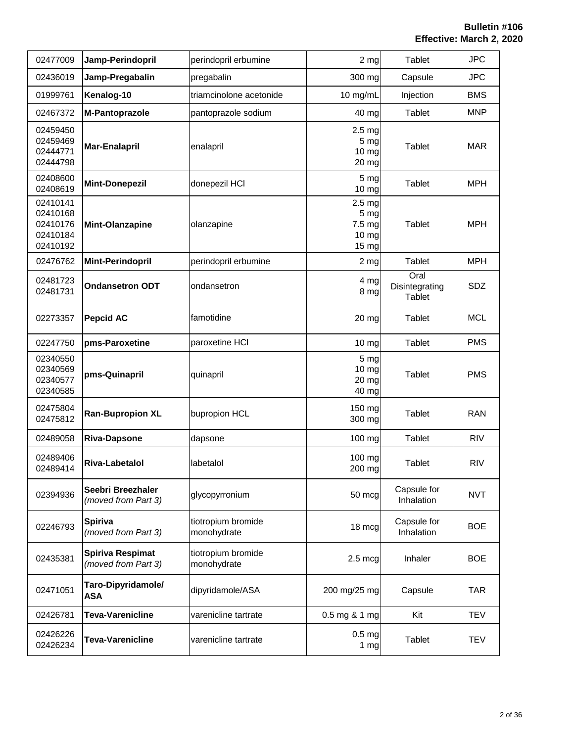| 02477009                                                 | Jamp-Perindopril                               | perindopril erbumine              | 2 <sub>mg</sub>                                                  | Tablet                           | <b>JPC</b> |
|----------------------------------------------------------|------------------------------------------------|-----------------------------------|------------------------------------------------------------------|----------------------------------|------------|
| 02436019                                                 | Jamp-Pregabalin                                | pregabalin                        | 300 mg                                                           | Capsule                          | <b>JPC</b> |
| 01999761                                                 | Kenalog-10                                     | triamcinolone acetonide           | 10 mg/mL                                                         | Injection                        | <b>BMS</b> |
| 02467372                                                 | M-Pantoprazole                                 | pantoprazole sodium               | 40 mg                                                            | Tablet                           | <b>MNP</b> |
| 02459450<br>02459469<br>02444771<br>02444798             | <b>Mar-Enalapril</b>                           | enalapril                         | 2.5 <sub>mg</sub><br>5 <sub>mg</sub><br>10 mg<br>20 mg           | Tablet                           | <b>MAR</b> |
| 02408600<br>02408619                                     | <b>Mint-Donepezil</b>                          | donepezil HCI                     | 5 mg<br>10 mg                                                    | <b>Tablet</b>                    | <b>MPH</b> |
| 02410141<br>02410168<br>02410176<br>02410184<br>02410192 | Mint-Olanzapine                                | olanzapine                        | 2.5 <sub>mg</sub><br>5 <sub>mg</sub><br>7.5 mg<br>10 mg<br>15 mg | <b>Tablet</b>                    | <b>MPH</b> |
| 02476762                                                 | <b>Mint-Perindopril</b>                        | perindopril erbumine              | 2 <sub>mg</sub>                                                  | Tablet                           | <b>MPH</b> |
| 02481723<br>02481731                                     | <b>Ondansetron ODT</b>                         | ondansetron                       | 4 mg<br>8 mg                                                     | Oral<br>Disintegrating<br>Tablet | SDZ        |
| 02273357                                                 | <b>Pepcid AC</b>                               | famotidine                        | $20 \, mg$                                                       | Tablet                           | <b>MCL</b> |
| 02247750                                                 | pms-Paroxetine                                 | paroxetine HCI                    | 10 mg                                                            | Tablet                           | <b>PMS</b> |
| 02340550<br>02340569<br>02340577<br>02340585             | pms-Quinapril                                  | quinapril                         | 5 <sub>mg</sub><br>10 mg<br>20 mg<br>40 mg                       | <b>Tablet</b>                    | <b>PMS</b> |
| 02475804<br>02475812                                     | <b>Ran-Bupropion XL</b>                        | bupropion HCL                     | 150 mg<br>300 mg                                                 | <b>Tablet</b>                    | <b>RAN</b> |
| 02489058                                                 | <b>Riva-Dapsone</b>                            | dapsone                           | 100 mg                                                           | Tablet                           | <b>RIV</b> |
| 02489406<br>02489414                                     | Riva-Labetalol                                 | labetalol                         | 100 mg<br>200 mg                                                 | Tablet                           | <b>RIV</b> |
| 02394936                                                 | Seebri Breezhaler<br>(moved from Part 3)       | glycopyrronium                    | 50 mcg                                                           | Capsule for<br>Inhalation        | <b>NVT</b> |
| 02246793                                                 | <b>Spiriva</b><br>(moved from Part 3)          | tiotropium bromide<br>monohydrate | 18 mcg                                                           | Capsule for<br>Inhalation        | <b>BOE</b> |
| 02435381                                                 | <b>Spiriva Respimat</b><br>(moved from Part 3) | tiotropium bromide<br>monohydrate | $2.5 \text{ mcg}$                                                | Inhaler                          | <b>BOE</b> |
| 02471051                                                 | Taro-Dipyridamole/<br><b>ASA</b>               | dipyridamole/ASA                  | 200 mg/25 mg                                                     | Capsule                          | TAR        |
| 02426781                                                 | <b>Teva-Varenicline</b>                        | varenicline tartrate              | 0.5 mg & 1 mg                                                    | Kit                              | <b>TEV</b> |
| 02426226<br>02426234                                     | Teva-Varenicline                               | varenicline tartrate              | 0.5 <sub>mg</sub><br>1 <sub>mg</sub>                             | Tablet                           | <b>TEV</b> |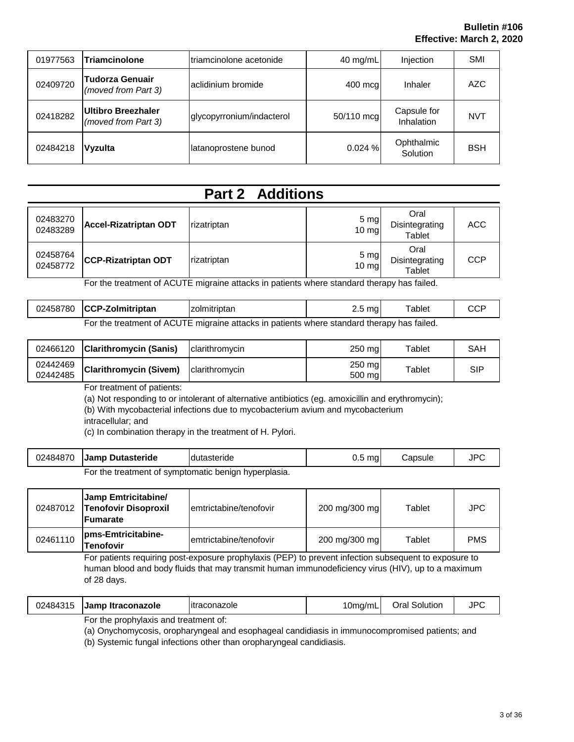| 01977563 | <b>Triamcinolone</b>                             | triamcinolone acetonide   | $40 \text{ mg/mL}$ | Injection                 | SMI        |
|----------|--------------------------------------------------|---------------------------|--------------------|---------------------------|------------|
| 02409720 | <b>Tudorza Genuair</b><br>(moved from Part 3)    | aclidinium bromide        | 400 mcg            | Inhaler                   | AZC        |
| 02418282 | <b>Ultibro Breezhaler</b><br>(moved from Part 3) | glycopyrronium/indacterol | 50/110 mcg         | Capsule for<br>Inhalation | <b>NVT</b> |
| 02484218 | <b>Vyzulta</b>                                   | latanoprostene bunod      | 0.024%             | Ophthalmic<br>Solution    | <b>BSH</b> |

## **Part 2 Additions**

| 02483270<br>02483289 | Accel-Rizatriptan ODT      | rizatriptan | 5 mg<br>$10 \text{ mg}$ | Oral<br>Disintegrating<br>Tablet | ACC        |
|----------------------|----------------------------|-------------|-------------------------|----------------------------------|------------|
| 02458764<br>02458772 | <b>CCP-Rizatriptan ODT</b> | rizatriptan | 5 mg<br>$10 \text{ mg}$ | Oral<br>Disintegrating<br>Tablet | <b>CCP</b> |

For the treatment of ACUTE migraine attacks in patients where standard therapy has failed.

| 02458780 CCP-Zolmitriptan | zolmitriptan                                                                                       | ma | $\tau$ ablet |  |
|---------------------------|----------------------------------------------------------------------------------------------------|----|--------------|--|
|                           | For the treatment of $\Delta$ CLITE migraine attacks in patients where standard therapy has failed |    |              |  |

| For the treatment of ACUTE migraine attacks in patients where standard therapy has failed. |  |  |  |
|--------------------------------------------------------------------------------------------|--|--|--|
|                                                                                            |  |  |  |

| 02466120             | <b>Clarithromycin (Sanis)</b> | <b>Iclarithromvcin</b> | 250 mal          | Tablet | <b>SAH</b> |
|----------------------|-------------------------------|------------------------|------------------|--------|------------|
| 02442469<br>02442485 | <b>Clarithromycin (Sivem)</b> | clarithromycin         | 250 mg<br>500 mg | Tablet | SIP        |

For treatment of patients:

(a) Not responding to or intolerant of alternative antibiotics (eg. amoxicillin and erythromycin);

(b) With mycobacterial infections due to mycobacterium avium and mycobacterium

intracellular; and

(c) In combination therapy in the treatment of H. Pylori.

| 02484870 | <b>Jamp Dutasteride</b>                              | dutasteride | mg | Capsule | חסו<br>JFU |
|----------|------------------------------------------------------|-------------|----|---------|------------|
|          | For the treatment of symptomatic benign hyperplasia. |             |    |         |            |

| 02487012 | Jamp Emtricitabine/<br><b>Tenofovir Disoproxil</b><br><b>IFumarate</b> | lemtrictabine/tenofovir | 200 mg/300 mg | Tablet | <b>JPC</b> |
|----------|------------------------------------------------------------------------|-------------------------|---------------|--------|------------|
| 02461110 | pms-Emtricitabine-<br>Tenofovir                                        | lemtrictabine/tenofovir | 200 mg/300 mg | Tablet | <b>PMS</b> |

For patients requiring post-exposure prophylaxis (PEP) to prevent infection subsequent to exposure to human blood and body fluids that may transmit human immunodeficiency virus (HIV), up to a maximum of 28 days.

| 02484315 | <b>Jamp Itraconazole</b>             | litraconazole | 10ma/m∟ | Oral Solution | <b>JPC</b> |
|----------|--------------------------------------|---------------|---------|---------------|------------|
|          | For the prophylaxic and treatment of |               |         |               |            |

For the prophylaxis and treatment of:

(a) Onychomycosis, oropharyngeal and esophageal candidiasis in immunocompromised patients; and

(b) Systemic fungal infections other than oropharyngeal candidiasis.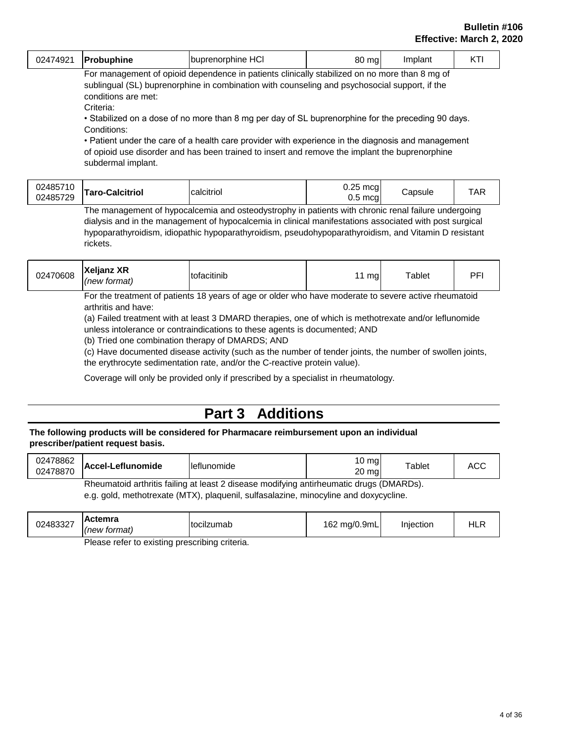| $\sim$<br>,,,,<br>۰,<br>unhine<br>$\overline{\phantom{a}}$<br>. Jorphine ⊢<br>ושר<br>ше<br>νŽ<br>∼<br>. | n n<br>ma<br>าเ<br>$\sim$ | าเล | --- |
|---------------------------------------------------------------------------------------------------------|---------------------------|-----|-----|
|---------------------------------------------------------------------------------------------------------|---------------------------|-----|-----|

For management of opioid dependence in patients clinically stabilized on no more than 8 mg of sublingual (SL) buprenorphine in combination with counseling and psychosocial support, if the conditions are met:

Criteria:

• Stabilized on a dose of no more than 8 mg per day of SL buprenorphine for the preceding 90 days. Conditions:

• Patient under the care of a health care provider with experience in the diagnosis and management of opioid use disorder and has been trained to insert and remove the implant the buprenorphine subdermal implant.

| 02485710<br>02485729 | Taro-Calcitriol | calcitriol                                                                                          | mca<br>mca | <i>C</i> apsule | $\mathbf{m}$ |
|----------------------|-----------------|-----------------------------------------------------------------------------------------------------|------------|-----------------|--------------|
|                      |                 | The management of hypocalcemia and octeodyctrophy in patients with chronic repal failure undergoing |            |                 |              |

The management of hypocalcemia and osteodystrophy in patients with chronic renal failure undergoing dialysis and in the management of hypocalcemia in clinical manifestations associated with post surgical hypoparathyroidism, idiopathic hypoparathyroidism, pseudohypoparathyroidism, and Vitamin D resistant rickets.

For the treatment of patients 18 years of age or older who have moderate to severe active rheumatoid arthritis and have:

(a) Failed treatment with at least 3 DMARD therapies, one of which is methotrexate and/or leflunomide unless intolerance or contraindications to these agents is documented; AND

(b) Tried one combination therapy of DMARDS; AND

(c) Have documented disease activity (such as the number of tender joints, the number of swollen joints, the erythrocyte sedimentation rate, and/or the C-reactive protein value).

Coverage will only be provided only if prescribed by a specialist in rheumatology.

## **Part 3 Additions**

#### **The following products will be considered for Pharmacare reimbursement upon an individual prescriber/patient request basis.**

| 02478862<br>02478870 | Accel-Leflunomide | <b>Ileflunomide</b>                                                                     | $10 \text{ mg}$<br>$20 \text{ ma}$ | Tablet | ACC |
|----------------------|-------------------|-----------------------------------------------------------------------------------------|------------------------------------|--------|-----|
|                      |                   | Rheumatoid arthritis failing at least 2 disease modifying antirheumatic drugs (DMARDs). |                                    |        |     |
|                      |                   | e q dold methotrexate (MTX) planuagius ligasalazine minocyline and dovvcycline          |                                    |        |     |

e.g. gold, methotrexate (MTX), plaquenil, sulfasalazine, minocyline and doxycycline.

|  | 02483327 | Actemra<br>(new format) | Itocilzumab | 162 mg/0.9mL | Iniection | படங<br>⊓∟r |
|--|----------|-------------------------|-------------|--------------|-----------|------------|
|--|----------|-------------------------|-------------|--------------|-----------|------------|

Please refer to existing prescribing criteria.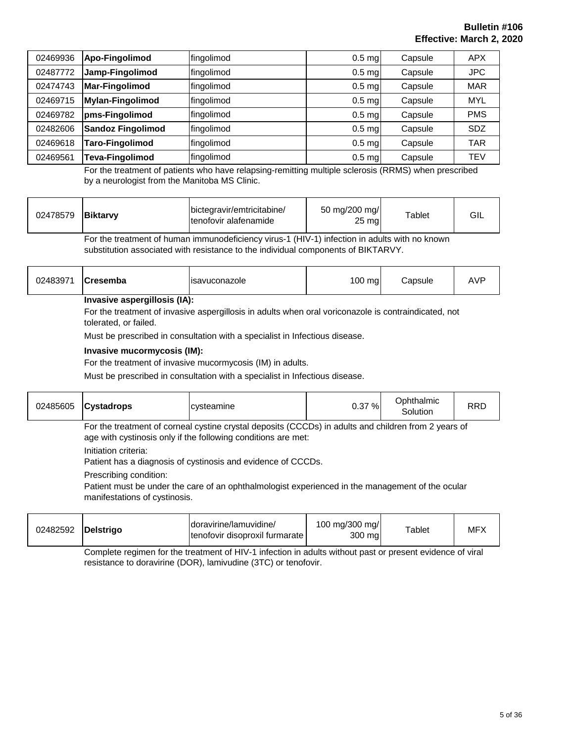| 02469936 | Apo-Fingolimod           | fingolimod | $0.5$ mg          | Capsule | <b>APX</b> |
|----------|--------------------------|------------|-------------------|---------|------------|
| 02487772 | Jamp-Fingolimod          | fingolimod | $0.5$ mg          | Capsule | <b>JPC</b> |
| 02474743 | <b>Mar-Fingolimod</b>    | fingolimod | $0.5$ mg          | Capsule | <b>MAR</b> |
| 02469715 | <b>Mylan-Fingolimod</b>  | fingolimod | $0.5$ mg          | Capsule | <b>MYL</b> |
| 02469782 | pms-Fingolimod           | fingolimod | $0.5$ mg          | Capsule | <b>PMS</b> |
| 02482606 | <b>Sandoz Fingolimod</b> | fingolimod | $0.5$ mg          | Capsule | <b>SDZ</b> |
| 02469618 | <b>Taro-Fingolimod</b>   | fingolimod | $0.5$ mg          | Capsule | TAR        |
| 02469561 | <b>Teva-Fingolimod</b>   | fingolimod | 0.5 <sub>mg</sub> | Capsule | <b>TEV</b> |

For the treatment of patients who have relapsing-remitting multiple sclerosis (RRMS) when prescribed by a neurologist from the Manitoba MS Clinic.

For the treatment of human immunodeficiency virus-1 (HIV-1) infection in adults with no known substitution associated with resistance to the individual components of BIKTARVY.

| 02483971 | <b>Cresemba</b> | lisavuconazole | $100$ mg | <i>C</i> apsule | <b>AVF</b> |
|----------|-----------------|----------------|----------|-----------------|------------|
|----------|-----------------|----------------|----------|-----------------|------------|

#### **Invasive aspergillosis (IA):**

For the treatment of invasive aspergillosis in adults when oral voriconazole is contraindicated, not tolerated, or failed.

Must be prescribed in consultation with a specialist in Infectious disease.

#### **Invasive mucormycosis (IM):**

For the treatment of invasive mucormycosis (IM) in adults.

Must be prescribed in consultation with a specialist in Infectious disease.

| $02485605$ Cystadrops | cysteamine                                                                                                                                                            | 0.37 % | Ophthalmic<br>Solution | <b>RRD</b> |
|-----------------------|-----------------------------------------------------------------------------------------------------------------------------------------------------------------------|--------|------------------------|------------|
|                       | For the treatment of corneal cystine crystal deposits (CCCDs) in adults and children from 2 years of<br>age with cystinosis only if the following conditions are met: |        |                        |            |
| Initiation criteria:  |                                                                                                                                                                       |        |                        |            |

Patient has a diagnosis of cystinosis and evidence of CCCDs.

Prescribing condition:

Patient must be under the care of an ophthalmologist experienced in the management of the ocular manifestations of cystinosis.

| Idoravirine/lamuvidine/         | 100 mg/300 mg/ |
|---------------------------------|----------------|
| 02482592                        | <b>MFX</b>     |
| Delstrigo                       | $\tau$ ablet   |
| Itenofovir disoproxil furmarate | 300 mg         |

Complete regimen for the treatment of HIV-1 infection in adults without past or present evidence of viral resistance to doravirine (DOR), lamivudine (3TC) or tenofovir.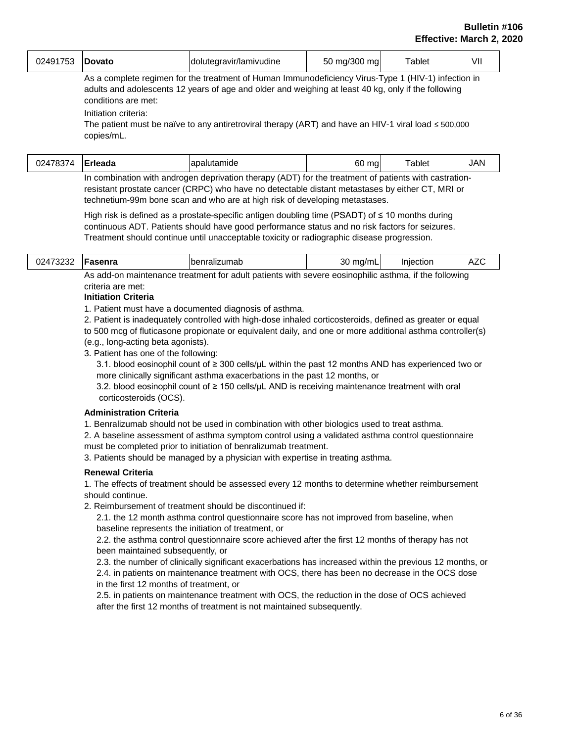| 02491753 | <b>Dovato</b> | dolutegravir/lamivudine | ma/300<br>ma<br>50 | <sup>-</sup> ablet | $\prime$ |
|----------|---------------|-------------------------|--------------------|--------------------|----------|
|----------|---------------|-------------------------|--------------------|--------------------|----------|

As a complete regimen for the treatment of Human Immunodeficiency Virus-Type 1 (HIV-1) infection in adults and adolescents 12 years of age and older and weighing at least 40 kg, only if the following conditions are met:

Initiation criteria:

The patient must be naïve to any antiretroviral therapy (ART) and have an HIV-1 viral load ≤ 500,000 copies/mL.

| 02478374 | <b>IErleada</b> | apalutamide                                                                                           | 60 mg | $\tau$ ablet | <b>JAN</b> |
|----------|-----------------|-------------------------------------------------------------------------------------------------------|-------|--------------|------------|
|          |                 | In combination with androgen deprivation therapy (ADT) for the treatment of patients with castration- |       |              |            |

resistant prostate cancer (CRPC) who have no detectable distant metastases by either CT, MRI or technetium-99m bone scan and who are at high risk of developing metastases.

High risk is defined as a prostate-specific antigen doubling time (PSADT) of ≤ 10 months during continuous ADT. Patients should have good performance status and no risk factors for seizures. Treatment should continue until unacceptable toxicity or radiographic disease progression.

| 02473232                                                                                                     | Fasenra | benralizumab | 30<br>mg/mL | Injection |  |  |
|--------------------------------------------------------------------------------------------------------------|---------|--------------|-------------|-----------|--|--|
| she add an maintenance the change of the adjustments with an use and resolution adjustments if the following |         |              |             |           |  |  |

As add-on maintenance treatment for adult patients with severe eosinophilic asthma, if the following criteria are met:

#### **Initiation Criteria**

1. Patient must have a documented diagnosis of asthma.

2. Patient is inadequately controlled with high-dose inhaled corticosteroids, defined as greater or equal

to 500 mcg of fluticasone propionate or equivalent daily, and one or more additional asthma controller(s) (e.g., long-acting beta agonists).

3. Patient has one of the following:

 3.1. blood eosinophil count of ≥ 300 cells/µL within the past 12 months AND has experienced two or more clinically significant asthma exacerbations in the past 12 months, or

 3.2. blood eosinophil count of ≥ 150 cells/µL AND is receiving maintenance treatment with oral corticosteroids (OCS).

#### **Administration Criteria**

1. Benralizumab should not be used in combination with other biologics used to treat asthma.

2. A baseline assessment of asthma symptom control using a validated asthma control questionnaire must be completed prior to initiation of benralizumab treatment.

3. Patients should be managed by a physician with expertise in treating asthma.

#### **Renewal Criteria**

1. The effects of treatment should be assessed every 12 months to determine whether reimbursement should continue.

2. Reimbursement of treatment should be discontinued if:

 2.1. the 12 month asthma control questionnaire score has not improved from baseline, when baseline represents the initiation of treatment, or

 2.2. the asthma control questionnaire score achieved after the first 12 months of therapy has not been maintained subsequently, or

 2.3. the number of clinically significant exacerbations has increased within the previous 12 months, or 2.4. in patients on maintenance treatment with OCS, there has been no decrease in the OCS dose in the first 12 months of treatment, or

 2.5. in patients on maintenance treatment with OCS, the reduction in the dose of OCS achieved after the first 12 months of treatment is not maintained subsequently.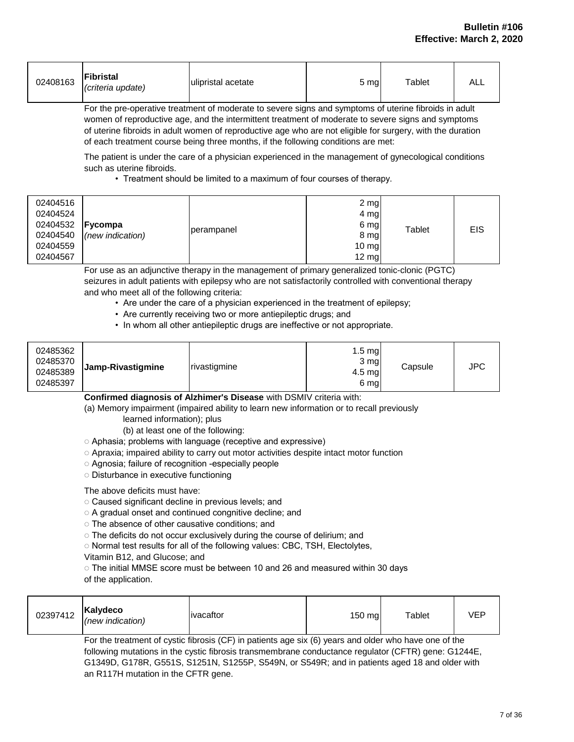| 02408163 | Fibristal<br>(criteria update) | ulipristal acetate | ა mg | Tablet | ALL |
|----------|--------------------------------|--------------------|------|--------|-----|
|----------|--------------------------------|--------------------|------|--------|-----|

For the pre-operative treatment of moderate to severe signs and symptoms of uterine fibroids in adult women of reproductive age, and the intermittent treatment of moderate to severe signs and symptoms of uterine fibroids in adult women of reproductive age who are not eligible for surgery, with the duration of each treatment course being three months, if the following conditions are met:

The patient is under the care of a physician experienced in the management of gynecological conditions such as uterine fibroids.

• Treatment should be limited to a maximum of four courses of therapy.

| 02404516<br>02404524<br>02404532<br>02404540<br>02404559<br>02404567 | <b>Fycompa</b><br>(new indication) | perampanel | 2 mg<br>4 mg<br>6 mg<br>8 mg<br>$10 \, \text{mg}$<br>$12 \text{ mg}$ | Tablet | <b>EIS</b> |
|----------------------------------------------------------------------|------------------------------------|------------|----------------------------------------------------------------------|--------|------------|
|----------------------------------------------------------------------|------------------------------------|------------|----------------------------------------------------------------------|--------|------------|

For use as an adjunctive therapy in the management of primary generalized tonic-clonic (PGTC) seizures in adult patients with epilepsy who are not satisfactorily controlled with conventional therapy and who meet all of the following criteria:

- Are under the care of a physician experienced in the treatment of epilepsy;
- Are currently receiving two or more antiepileptic drugs; and
- In whom all other antiepileptic drugs are ineffective or not appropriate.

| 02485362<br>02485370<br>02485389<br>02485397 | Jamp-Rivastigmine | rivastigmine | $1.5 \text{ mg}$<br>3 mg<br>$4.5 \text{ mg}$<br>6 mg | Capsule | <b>JPC</b> |
|----------------------------------------------|-------------------|--------------|------------------------------------------------------|---------|------------|
|----------------------------------------------|-------------------|--------------|------------------------------------------------------|---------|------------|

**Confirmed diagnosis of Alzhimer's Disease** with DSMIV criteria with:

(a) Memory impairment (impaired ability to learn new information or to recall previously

learned information); plus

(b) at least one of the following:

◌ Aphasia; problems with language (receptive and expressive)

- **◌** Apraxia; impaired ability to carry out motor activities despite intact motor function
- ◌ Agnosia; failure of recognition -especially people
- ◌ Disturbance in executive functioning

The above deficits must have:

- ◌ Caused significant decline in previous levels; and
- ◌ A gradual onset and continued congnitive decline; and
- ◌ The absence of other causative conditions; and
- ◌ The deficits do not occur exclusively during the course of delirium; and
- ◌ Normal test results for all of the following values: CBC, TSH, Electolytes,
- Vitamin B12, and Glucose; and

◌ The initial MMSE score must be between 10 and 26 and measured within 30 days of the application.

For the treatment of cystic fibrosis (CF) in patients age six (6) years and older who have one of the following mutations in the cystic fibrosis transmembrane conductance regulator (CFTR) gene: G1244E, G1349D, G178R, G551S, S1251N, S1255P, S549N, or S549R; and in patients aged 18 and older with an R117H mutation in the CFTR gene.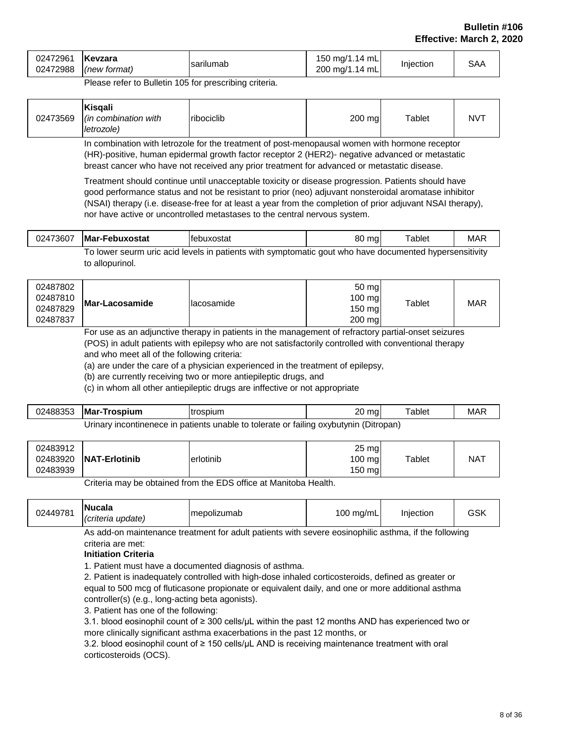| Kevzara<br>02472961<br>02472988<br>(new format) | sarilumab | 150 mg/1.14 mL<br>200 mg/1.14 mL | Injection | <b>SAA</b> |
|-------------------------------------------------|-----------|----------------------------------|-----------|------------|
|-------------------------------------------------|-----------|----------------------------------|-----------|------------|

Please refer to Bulletin 105 for prescribing criteria.

|--|

In combination with letrozole for the treatment of post-menopausal women with hormone receptor (HR)-positive, human epidermal growth factor receptor 2 (HER2)- negative advanced or metastatic breast cancer who have not received any prior treatment for advanced or metastatic disease.

Treatment should continue until unacceptable toxicity or disease progression. Patients should have good performance status and not be resistant to prior (neo) adjuvant nonsteroidal aromatase inhibitor (NSAI) therapy (i.e. disease-free for at least a year from the completion of prior adjuvant NSAI therapy), nor have active or uncontrolled metastases to the central nervous system.

| 02473607 | <b>Mar-Febuxostat</b> | Ifebuxostat                                                                                            | 80 mg | $\tau$ ablet | <b>MAR</b> |
|----------|-----------------------|--------------------------------------------------------------------------------------------------------|-------|--------------|------------|
|          |                       | To lower seurm uric acid levels in patients with symptomatic gout who have documented hypersensitivity |       |              |            |
|          | to allopurinol.       |                                                                                                        |       |              |            |

| 02487802<br>02487810<br>02487829<br>02487837 | Mar-Lacosamide | Ilacosamide | 50 mg<br>100 mg<br>150 mg<br>200 mg | Tablet | <b>MAR</b> |
|----------------------------------------------|----------------|-------------|-------------------------------------|--------|------------|
|----------------------------------------------|----------------|-------------|-------------------------------------|--------|------------|

For use as an adjunctive therapy in patients in the management of refractory partial-onset seizures (POS) in adult patients with epilepsy who are not satisfactorily controlled with conventional therapy and who meet all of the following criteria:

(a) are under the care of a physician experienced in the treatment of epilepsy,

(b) are currently receiving two or more antiepileptic drugs, and

(c) in whom all other antiepileptic drugs are inffective or not appropriate

| 02488353                                                                              | <b>Mar-Trospium</b> | trospium | 20<br>mal | $t$ Tablet | <b>MAR</b> |  |
|---------------------------------------------------------------------------------------|---------------------|----------|-----------|------------|------------|--|
| Urinary incontinenece in patients unable to tolerate or failing oxybutynin (Ditropan) |                     |          |           |            |            |  |

Criteria may be obtained from the EDS office at Manitoba Health.

| 02449781 | <b>Nucala</b><br>( <i>criteria update</i> ) | Imepolizumab | 100 mg/mL | Iniection | GSK |
|----------|---------------------------------------------|--------------|-----------|-----------|-----|
|----------|---------------------------------------------|--------------|-----------|-----------|-----|

As add-on maintenance treatment for adult patients with severe eosinophilic asthma, if the following criteria are met:

#### **Initiation Criteria**

1. Patient must have a documented diagnosis of asthma.

2. Patient is inadequately controlled with high-dose inhaled corticosteroids, defined as greater or equal to 500 mcg of fluticasone propionate or equivalent daily, and one or more additional asthma controller(s) (e.g., long-acting beta agonists).

3. Patient has one of the following:

3.1. blood eosinophil count of ≥ 300 cells/µL within the past 12 months AND has experienced two or more clinically significant asthma exacerbations in the past 12 months, or

3.2. blood eosinophil count of ≥ 150 cells/µL AND is receiving maintenance treatment with oral corticosteroids (OCS).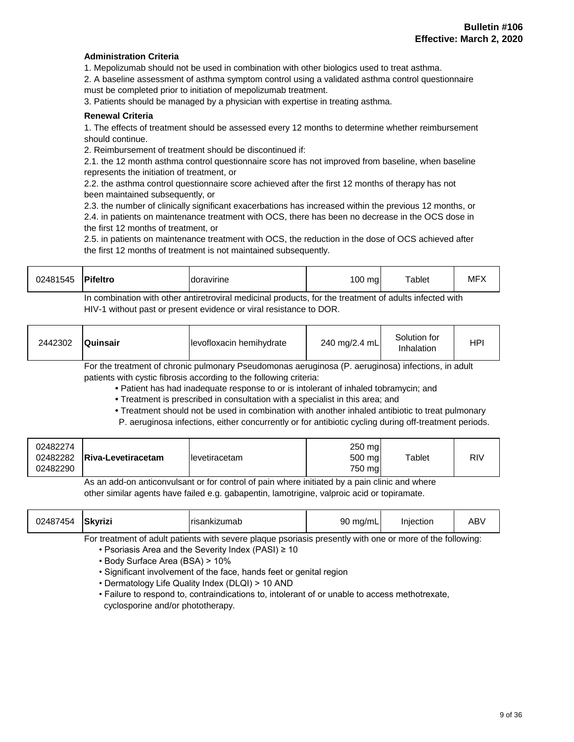#### **Administration Criteria**

1. Mepolizumab should not be used in combination with other biologics used to treat asthma.

2. A baseline assessment of asthma symptom control using a validated asthma control questionnaire must be completed prior to initiation of mepolizumab treatment.

3. Patients should be managed by a physician with expertise in treating asthma.

#### **Renewal Criteria**

1. The effects of treatment should be assessed every 12 months to determine whether reimbursement should continue.

2. Reimbursement of treatment should be discontinued if:

2.1. the 12 month asthma control questionnaire score has not improved from baseline, when baseline represents the initiation of treatment, or

2.2. the asthma control questionnaire score achieved after the first 12 months of therapy has not been maintained subsequently, or

2.3. the number of clinically significant exacerbations has increased within the previous 12 months, or 2.4. in patients on maintenance treatment with OCS, there has been no decrease in the OCS dose in the first 12 months of treatment, or

2.5. in patients on maintenance treatment with OCS, the reduction in the dose of OCS achieved after the first 12 months of treatment is not maintained subsequently.

| 02481545                                                                                               | <b>Pifeltro</b> | Idoravirine | $100 \text{ ma}$ | Tablet | <b>MFX</b> |  |
|--------------------------------------------------------------------------------------------------------|-----------------|-------------|------------------|--------|------------|--|
| In combination with other antiretroviral medicinal products, for the treatment of adults infected with |                 |             |                  |        |            |  |

HIV-1 without past or present evidence or viral resistance to DOR.

| 2442302 | <b>Quinsair</b>          | levofloxacin hemihydrate | 240 mg/2.4 mL | Solution for<br>Inhalation | HPI          |
|---------|--------------------------|--------------------------|---------------|----------------------------|--------------|
|         | $\overline{\phantom{0}}$ | $\overline{\phantom{a}}$ | $\sqrt{2}$    |                            | $\mathbf{r}$ |

For the treatment of chronic pulmonary Pseudomonas aeruginosa (P. aeruginosa) infections, in adult patients with cystic fibrosis according to the following criteria:

**•** Patient has had inadequate response to or is intolerant of inhaled tobramycin; and

**•** Treatment is prescribed in consultation with a specialist in this area; and

- Treatment should not be used in combination with another inhaled antibiotic to treat pulmonary
- P. aeruginosa infections, either concurrently or for antibiotic cycling during off-treatment periods.

|--|

As an add-on anticonvulsant or for control of pain where initiated by a pain clinic and where other similar agents have failed e.g. gabapentin, lamotrigine, valproic acid or topiramate.

| 02487454 | Skyrizi | Trisankizumab | 90 mg/mL | Injection | ABV |  |
|----------|---------|---------------|----------|-----------|-----|--|
|          |         |               |          |           |     |  |

For treatment of adult patients with severe plaque psoriasis presently with one or more of the following:

- Psoriasis Area and the Severity Index (PASI) ≥ 10
- Body Surface Area (BSA) > 10%
- Significant involvement of the face, hands feet or genital region
- Dermatology Life Quality Index (DLQI) > 10 AND
- Failure to respond to, contraindications to, intolerant of or unable to access methotrexate, cyclosporine and/or phototherapy.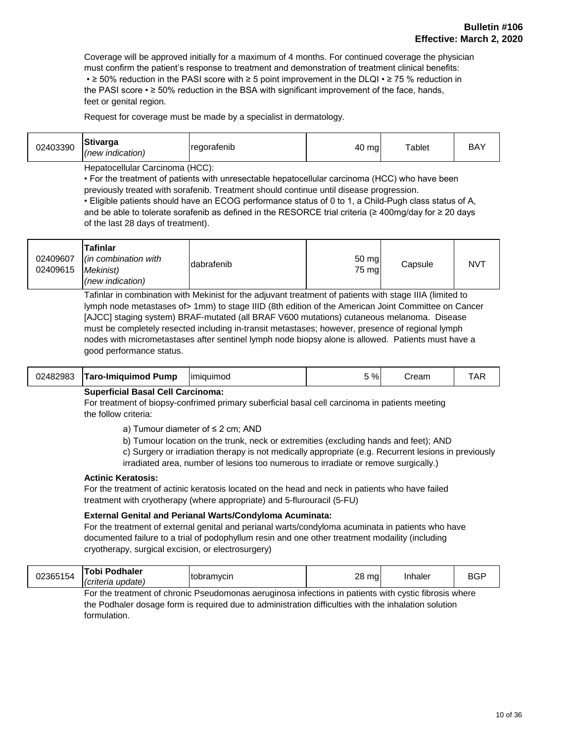Coverage will be approved initially for a maximum of 4 months. For continued coverage the physician must confirm the patient's response to treatment and demonstration of treatment clinical benefits: • ≥ 50% reduction in the PASI score with ≥ 5 point improvement in the DLQI • ≥ 75 % reduction in the PASI score • ≥ 50% reduction in the BSA with significant improvement of the face, hands, feet or genital region.

Request for coverage must be made by a specialist in dermatology.

| 02403390 | Stivarga<br>(new indication) | <b>regoratenib</b> | 40 mg | $\mathsf{Tablet}$ | BA) |
|----------|------------------------------|--------------------|-------|-------------------|-----|
|----------|------------------------------|--------------------|-------|-------------------|-----|

Hepatocellular Carcinoma (HCC):

• For the treatment of patients with unresectable hepatocellular carcinoma (HCC) who have been previously treated with sorafenib. Treatment should continue until disease progression.

• Eligible patients should have an ECOG performance status of 0 to 1, a Child-Pugh class status of A, and be able to tolerate sorafenib as defined in the RESORCE trial criteria (≥ 400mg/day for ≥ 20 days of the last 28 days of treatment).

| 02409607<br>02409615 | Tafinlar<br>$\lim$ combination with<br>Mekinist) | dabrafenib | 50 mg<br>75 mg | Capsule | <b>NVT</b> |
|----------------------|--------------------------------------------------|------------|----------------|---------|------------|
|                      | (new indication)                                 |            |                |         |            |

Tafinlar in combination with Mekinist for the adjuvant treatment of patients with stage IIIA (limited to lymph node metastases of> 1mm) to stage IIID (8th edition of the American Joint Committee on Cancer [AJCC] staging system) BRAF-mutated (all BRAF V600 mutations) cutaneous melanoma. Disease must be completely resected including in-transit metastases; however, presence of regional lymph nodes with micrometastases after sentinel lymph node biopsy alone is allowed. Patients must have a good performance status.

| 02482983 | Taro-Imiguimod Pump<br>----<br>-- - - - | <u>I</u> miauimod | 5% | ∶ream | TAR<br>. |
|----------|-----------------------------------------|-------------------|----|-------|----------|
|          |                                         |                   |    |       |          |

#### **Superficial Basal Cell Carcinoma:**

For treatment of biopsy-confrimed primary suberficial basal cell carcinoma in patients meeting the follow criteria:

- a) Tumour diameter of ≤ 2 cm; AND
- b) Tumour location on the trunk, neck or extremities (excluding hands and feet); AND

c) Surgery or irradiation therapy is not medically appropriate (e.g. Recurrent lesions in previously

irradiated area, number of lesions too numerous to irradiate or remove surgically.)

#### **Actinic Keratosis:**

For the treatment of actinic keratosis located on the head and neck in patients who have failed treatment with cryotherapy (where appropriate) and 5-flurouracil (5-FU)

#### **External Genital and Perianal Warts/Condyloma Acuminata:**

For the treatment of external genital and perianal warts/condyloma acuminata in patients who have documented failure to a trial of podophyllum resin and one other treatment modaility (including cryotherapy, surgical excision, or electrosurgery)

| 02365154 | <b>Tobi Podhaler</b>       |            | 28<br>ma |         | <b>DOL</b> |
|----------|----------------------------|------------|----------|---------|------------|
|          | update.<br><b>Criteria</b> | tobramvcin | $\cdot$  | Inhaler | BGF        |

For the treatment of chronic Pseudomonas aeruginosa infections in patients with cystic fibrosis where the Podhaler dosage form is required due to administration difficulties with the inhalation solution formulation.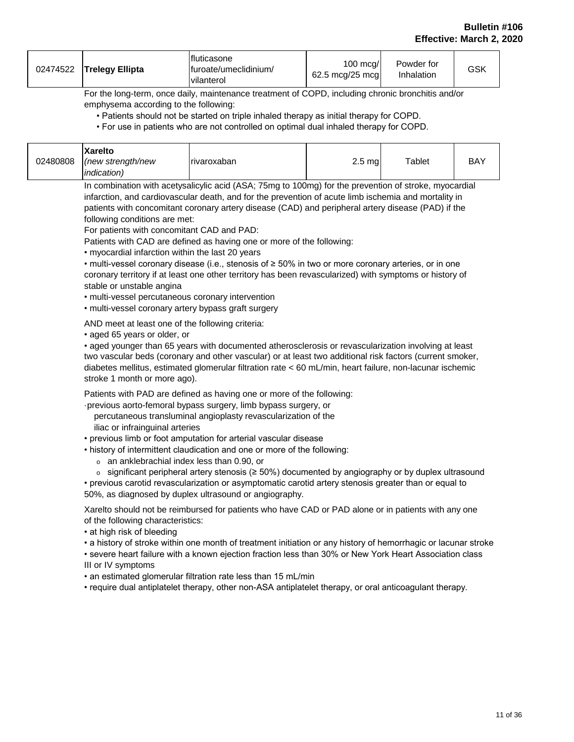| 02474522 | Trelegy Ellipta | Ifluticasone<br>Ifuroate/umeclidinium/<br>vilanterol | $100 \text{ mca}$<br>62.5 mcg/25 mcg | Powder for<br>Inhalation | GSK |
|----------|-----------------|------------------------------------------------------|--------------------------------------|--------------------------|-----|
|----------|-----------------|------------------------------------------------------|--------------------------------------|--------------------------|-----|

For the long-term, once daily, maintenance treatment of COPD, including chronic bronchitis and/or emphysema according to the following:

• Patients should not be started on triple inhaled therapy as initial therapy for COPD.

• For use in patients who are not controlled on optimal dual inhaled therapy for COPD.

| 02480808 | <b>Xarelto</b><br>(new strength/new | rivaroxaban | $2.5$ mg | Tablet | BAY |
|----------|-------------------------------------|-------------|----------|--------|-----|
|          | <i>indication</i> )                 |             |          |        |     |

In combination with acetysalicylic acid (ASA; 75mg to 100mg) for the prevention of stroke, myocardial infarction, and cardiovascular death, and for the prevention of acute limb ischemia and mortality in patients with concomitant coronary artery disease (CAD) and peripheral artery disease (PAD) if the following conditions are met:

For patients with concomitant CAD and PAD:

Patients with CAD are defined as having one or more of the following:

• myocardial infarction within the last 20 years

• multi-vessel coronary disease (i.e., stenosis of ≥ 50% in two or more coronary arteries, or in one coronary territory if at least one other territory has been revascularized) with symptoms or history of stable or unstable angina

• multi-vessel percutaneous coronary intervention

• multi-vessel coronary artery bypass graft surgery

AND meet at least one of the following criteria:

• aged 65 years or older, or

• aged younger than 65 years with documented atherosclerosis or revascularization involving at least two vascular beds (coronary and other vascular) or at least two additional risk factors (current smoker, diabetes mellitus, estimated glomerular filtration rate < 60 mL/min, heart failure, non-lacunar ischemic stroke 1 month or more ago).

Patients with PAD are defined as having one or more of the following:

·previous aorto-femoral bypass surgery, limb bypass surgery, or percutaneous transluminal angioplasty revascularization of the

iliac or infrainguinal arteries

• previous limb or foot amputation for arterial vascular disease

- history of intermittent claudication and one or more of the following:
	- o an anklebrachial index less than 0.90, or
	- o significant peripheral artery stenosis (≥ 50%) documented by angiography or by duplex ultrasound

• previous carotid revascularization or asymptomatic carotid artery stenosis greater than or equal to 50%, as diagnosed by duplex ultrasound or angiography.

Xarelto should not be reimbursed for patients who have CAD or PAD alone or in patients with any one of the following characteristics:

• at high risk of bleeding

• a history of stroke within one month of treatment initiation or any history of hemorrhagic or lacunar stroke

• severe heart failure with a known ejection fraction less than 30% or New York Heart Association class III or IV symptoms

• an estimated glomerular filtration rate less than 15 mL/min

• require dual antiplatelet therapy, other non-ASA antiplatelet therapy, or oral anticoagulant therapy.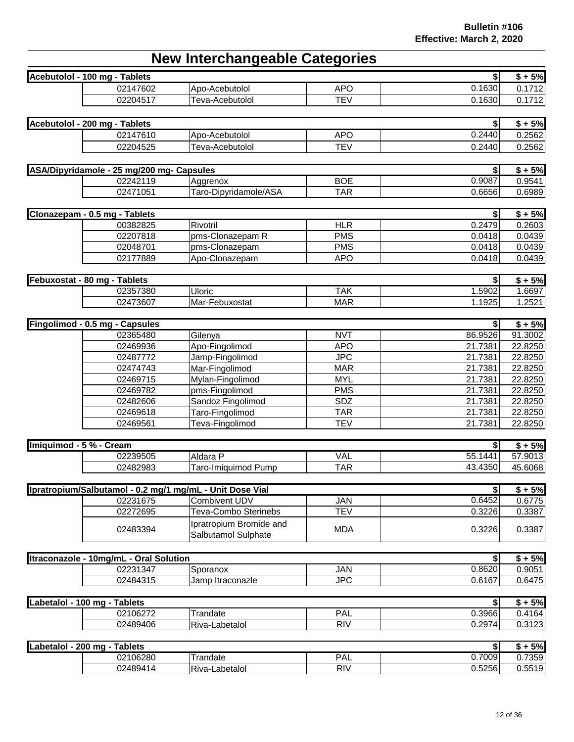## **New Interchangeable Categories**

|                              | Acebutolol - 100 mg - Tablets             |                                                          |                   | \$               | $$+5%$             |
|------------------------------|-------------------------------------------|----------------------------------------------------------|-------------------|------------------|--------------------|
|                              | 02147602                                  | Apo-Acebutolol                                           | <b>APO</b>        | 0.1630           | 0.1712             |
|                              | 02204517                                  | Teva-Acebutolol                                          | <b>TEV</b>        | 0.1630           | 0.1712             |
|                              |                                           |                                                          |                   |                  |                    |
|                              | Acebutolol - 200 mg - Tablets             |                                                          |                   | \$               | $$+5%$             |
|                              | 02147610                                  | Apo-Acebutolol                                           | <b>APO</b>        | 0.2440           | 0.2562             |
|                              | 02204525                                  | Teva-Acebutolol                                          | <b>TEV</b>        | 0.2440           | 0.2562             |
|                              |                                           |                                                          |                   |                  |                    |
|                              | ASA/Dipyridamole - 25 mg/200 mg- Capsules |                                                          |                   | \$               | $$ + 5%$           |
|                              | 02242119                                  | Aggrenox                                                 | <b>BOE</b>        | 0.9087           | 0.9541             |
|                              | 02471051                                  | Taro-Dipyridamole/ASA                                    | <b>TAR</b>        | 0.6656           | 0.6989             |
|                              |                                           |                                                          |                   |                  |                    |
|                              | Clonazepam - 0.5 mg - Tablets             |                                                          |                   | $\left  \right $ | $$+5%$             |
|                              | 00382825                                  | Rivotril                                                 | HLR               | 0.2479           | 0.2603             |
|                              | 02207818                                  | pms-Clonazepam R                                         | <b>PMS</b>        | 0.0418           | 0.0439             |
|                              | 02048701                                  | pms-Clonazepam                                           | <b>PMS</b>        | 0.0418           | 0.0439             |
|                              | 02177889                                  | Apo-Clonazepam                                           | <b>APO</b>        | 0.0418           | 0.0439             |
|                              |                                           |                                                          |                   |                  |                    |
| Febuxostat - 80 mg - Tablets | 02357380                                  | <b>Uloric</b>                                            | <b>TAK</b>        | \$               | $$+5%$             |
|                              | 02473607                                  | Mar-Febuxostat                                           |                   | 1.5902           | 1.6697<br>1.2521   |
|                              |                                           |                                                          | <b>MAR</b>        | 1.1925           |                    |
|                              | Fingolimod - 0.5 mg - Capsules            |                                                          |                   | \$               | $$+5%$             |
|                              | 02365480                                  | Gilenya                                                  | <b>NVT</b>        | 86.9526          | 91.3002            |
|                              | 02469936                                  | Apo-Fingolimod                                           | <b>APO</b>        | 21.7381          | 22.8250            |
|                              | 02487772                                  | Jamp-Fingolimod                                          | <b>JPC</b>        | 21.7381          | 22.8250            |
|                              | 02474743                                  | Mar-Fingolimod                                           | <b>MAR</b>        | 21.7381          | 22.8250            |
|                              | 02469715                                  | Mylan-Fingolimod                                         | <b>MYL</b>        | 21.7381          | 22.8250            |
|                              | 02469782                                  | pms-Fingolimod                                           | <b>PMS</b>        | 21.7381          | 22.8250            |
|                              | 02482606                                  | Sandoz Fingolimod                                        | SDZ               | 21.7381          | 22.8250            |
|                              | 02469618                                  | Taro-Fingolimod                                          | <b>TAR</b>        | 21.7381          | 22.8250            |
|                              | 02469561                                  | Teva-Fingolimod                                          | <b>TEV</b>        | 21.7381          | 22.8250            |
|                              |                                           |                                                          |                   |                  |                    |
| Imiquimod - 5 % - Cream      |                                           |                                                          |                   | \$               | $$+5%$             |
|                              | 02239505                                  | Aldara P                                                 | <b>VAL</b>        | 55.1441          | 57.9013            |
|                              | 02482983                                  | Taro-Imiquimod Pump                                      | <b>TAR</b>        | 43.4350          | 45.6068            |
|                              |                                           |                                                          |                   |                  |                    |
|                              |                                           | Ipratropium/Salbutamol - 0.2 mg/1 mg/mL - Unit Dose Vial |                   | \$               | $$ + 5%$           |
|                              | 02231675                                  | <b>Combivent UDV</b>                                     | <b>JAN</b>        | 0.6452           | 0.6775             |
|                              | 02272695                                  | Teva-Combo Sterinebs                                     | <b>TEV</b>        | 0.3226           | 0.3387             |
|                              | 02483394                                  | Ipratropium Bromide and                                  | <b>MDA</b>        | 0.3226           | 0.3387             |
|                              |                                           | Salbutamol Sulphate                                      |                   |                  |                    |
|                              |                                           |                                                          |                   |                  |                    |
|                              | Itraconazole - 10mg/mL - Oral Solution    |                                                          |                   | 0.8620           | $$ + 5%$<br>0.9051 |
|                              | 02231347<br>02484315                      | Sporanox<br>Jamp Itraconazle                             | JAN<br><b>JPC</b> | 0.6167           | 0.6475             |
|                              |                                           |                                                          |                   |                  |                    |
| Labetalol - 100 mg - Tablets |                                           |                                                          |                   | \$l              | $$+5%$             |
|                              | 02106272                                  | Trandate                                                 | <b>PAL</b>        | 0.3966           | 0.4164             |
|                              | 02489406                                  | Riva-Labetalol                                           | <b>RIV</b>        | 0.2974           | 0.3123             |
|                              |                                           |                                                          |                   |                  |                    |
| Labetalol - 200 mg - Tablets |                                           |                                                          |                   | $\bullet$        | $$+5%$             |

| 200<br>Tablets<br>Labetalol<br>ma |          |                    |           |        | 5%     |
|-----------------------------------|----------|--------------------|-----------|--------|--------|
|                                   | 02106280 | randate            | D۸<br>'AL | 0.7009 | 0.7359 |
|                                   | 02489414 | Riva-<br>∟abetalol | RIV       | 0.5256 | 0.5519 |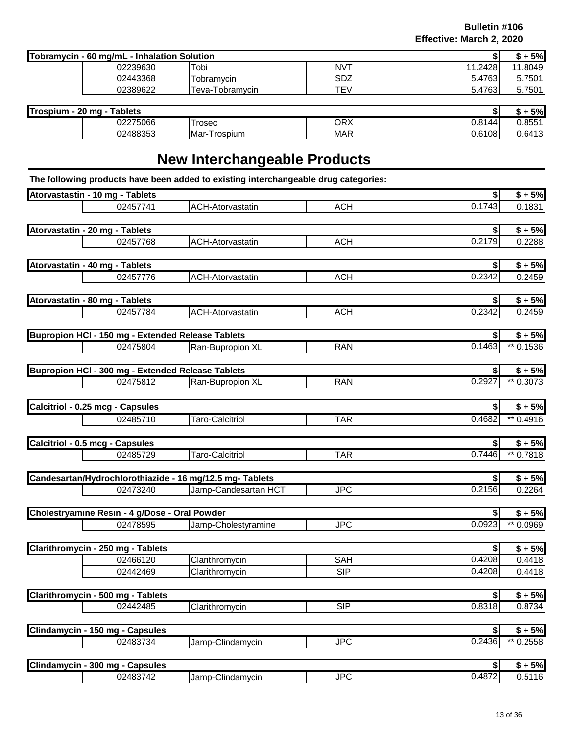| Tobramycin - 60 mg/mL - Inhalation Solution |          |                   |                 |         | 5%          |
|---------------------------------------------|----------|-------------------|-----------------|---------|-------------|
|                                             | 02239630 | Tobi              | NV <sup>T</sup> | 11.2428 | .8049<br>44 |
|                                             | 02443368 | <b>Fobramvcin</b> | SDZ             | 5.4763  | 5.7501      |
|                                             | 02389622 | Teva-Tobramycin   | TEV             | 5.4763  | 5.7501      |

| <b>Trospium</b><br>Tablets<br>20<br>ma |          |                   |            | EN/<br>7ol      |        |
|----------------------------------------|----------|-------------------|------------|-----------------|--------|
|                                        | 02275066 | Trosec            | ORX        | 0.8144<br>v.o i | 0.8551 |
|                                        | 02488353 | Mar<br>r-Trospium | <b>MAR</b> | 0.6108          | 0.6413 |

## **New Interchangeable Products**

**The following products have been added to existing interchangeable drug categories:**

| Atorvastastin - 10 mg - Tablets                   |                                                          |            | \$           | $$+5%$                 |
|---------------------------------------------------|----------------------------------------------------------|------------|--------------|------------------------|
| 02457741                                          | <b>ACH-Atorvastatin</b>                                  | <b>ACH</b> | 0.1743       | 0.1831                 |
|                                                   |                                                          |            |              |                        |
| Atorvastatin - 20 mg - Tablets                    |                                                          |            | \$           | $$+5%$                 |
| 02457768                                          | <b>ACH-Atorvastatin</b>                                  | <b>ACH</b> | 0.2179       | 0.2288                 |
|                                                   |                                                          |            |              |                        |
| Atorvastatin - 40 mg - Tablets                    |                                                          |            | \$           | $$+5%$                 |
| 02457776                                          | <b>ACH-Atorvastatin</b>                                  | <b>ACH</b> | 0.2342       | 0.2459                 |
|                                                   |                                                          |            |              |                        |
| Atorvastatin - 80 mg - Tablets                    |                                                          |            | \$           | $$+5%$                 |
| 02457784                                          | <b>ACH-Atorvastatin</b>                                  | <b>ACH</b> | 0.2342       | 0.2459                 |
|                                                   |                                                          |            |              |                        |
| Bupropion HCI - 150 mg - Extended Release Tablets |                                                          |            | \$           | $$+5%$                 |
| 02475804                                          | Ran-Bupropion XL                                         | <b>RAN</b> | 0.1463       | ** 0.1536              |
|                                                   |                                                          |            |              |                        |
| Bupropion HCI - 300 mg - Extended Release Tablets |                                                          |            | \$           | $$+5%$                 |
| 02475812                                          | Ran-Bupropion XL                                         | <b>RAN</b> | 0.2927       | ** 0.3073              |
|                                                   |                                                          |            |              |                        |
| Calcitriol - 0.25 mcg - Capsules                  |                                                          |            | \$           | $$+5%$                 |
| 02485710                                          | <b>Taro-Calcitriol</b>                                   | <b>TAR</b> | 0.4682       | $*$ 0.4916             |
|                                                   |                                                          |            |              |                        |
| Calcitriol - 0.5 mcg - Capsules                   |                                                          |            | \$<br>0.7446 | $$+5%$                 |
| 02485729                                          | Taro-Calcitriol                                          | <b>TAR</b> |              | ** 0.7818              |
|                                                   | Candesartan/Hydrochlorothiazide - 16 mg/12.5 mg- Tablets |            | \$           |                        |
| 02473240                                          | Jamp-Candesartan HCT                                     | <b>JPC</b> | 0.2156       | $$+5%$<br>0.2264       |
|                                                   |                                                          |            |              |                        |
| Cholestryamine Resin - 4 g/Dose - Oral Powder     |                                                          |            | \$           | $$+5%$                 |
| 02478595                                          | Jamp-Cholestyramine                                      | <b>JPC</b> | 0.0923       | $*$ 0.0969             |
|                                                   |                                                          |            |              |                        |
| Clarithromycin - 250 mg - Tablets                 |                                                          |            | \$           | $$+5%$                 |
| 02466120                                          | Clarithromycin                                           | <b>SAH</b> | 0.4208       | 0.4418                 |
| 02442469                                          | Clarithromycin                                           | <b>SIP</b> | 0.4208       | 0.4418                 |
|                                                   |                                                          |            |              |                        |
| Clarithromycin - 500 mg - Tablets                 |                                                          |            | \$           | $$+5%$                 |
| 02442485                                          | Clarithromycin                                           | <b>SIP</b> | 0.8318       | 0.8734                 |
|                                                   |                                                          |            |              |                        |
| Clindamycin - 150 mg - Capsules                   |                                                          |            | \$           | $$+5%$                 |
| 02483734                                          | Jamp-Clindamycin                                         | <b>JPC</b> | 0.2436       | $\overline{11}$ 0.2558 |
|                                                   |                                                          |            |              |                        |
| Clindamycin - 300 mg - Capsules                   |                                                          |            | \$           | $\overline{\$} + 5\%$  |
| 02483742                                          | Jamp-Clindamycin                                         | <b>JPC</b> | 0.4872       | 0.5116                 |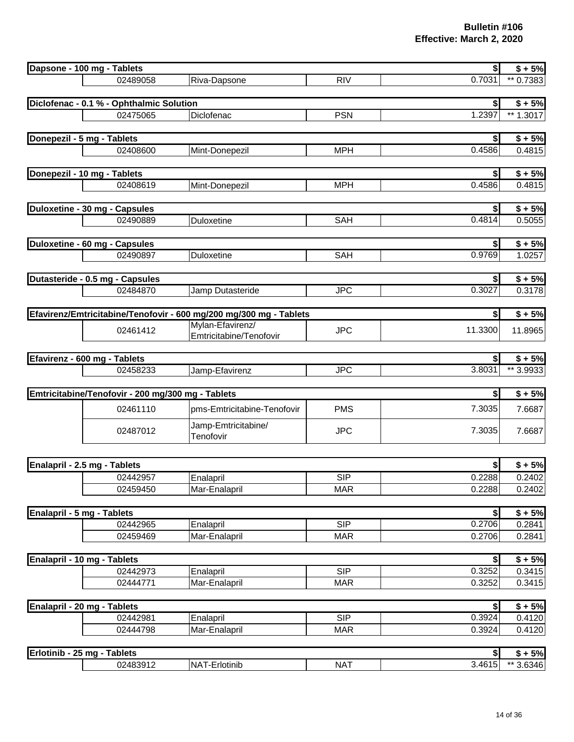|                            | Dapsone - 100 mg - Tablets                                         |                             |            | \$               | $$+5%$           |
|----------------------------|--------------------------------------------------------------------|-----------------------------|------------|------------------|------------------|
|                            | 02489058                                                           | Riva-Dapsone                | <b>RIV</b> | 0.7031           | ** 0.7383        |
|                            |                                                                    |                             |            |                  |                  |
|                            | Diclofenac - 0.1 % - Ophthalmic Solution                           |                             |            | \$               | $$+5%$           |
|                            | 02475065                                                           | Diclofenac                  | <b>PSN</b> | 1.2397           | ** $1.3017$      |
|                            |                                                                    |                             |            |                  |                  |
|                            | Donepezil - 5 mg - Tablets                                         |                             |            | \$               | $$+5%$           |
|                            | 02408600                                                           | Mint-Donepezil              | <b>MPH</b> | 0.4586           | 0.4815           |
|                            |                                                                    |                             |            |                  |                  |
|                            | Donepezil - 10 mg - Tablets                                        |                             |            |                  | $$+5%$           |
|                            | 02408619                                                           | Mint-Donepezil              | <b>MPH</b> | 0.4586           | 0.4815           |
|                            |                                                                    |                             |            |                  |                  |
|                            | Duloxetine - 30 mg - Capsules                                      |                             |            | \$               | $$+5%$           |
|                            | 02490889                                                           | Duloxetine                  | <b>SAH</b> | 0.4814           | 0.5055           |
|                            |                                                                    |                             |            |                  |                  |
|                            | Duloxetine - 60 mg - Capsules                                      |                             |            |                  | $$+5%$           |
|                            | 02490897                                                           | Duloxetine                  | <b>SAH</b> | 0.9769           | 1.0257           |
|                            |                                                                    |                             |            |                  |                  |
|                            | Dutasteride - 0.5 mg - Capsules                                    |                             |            | \$               | $$+5%$           |
|                            | 02484870                                                           | Jamp Dutasteride            | <b>JPC</b> | 0.3027           | 0.3178           |
|                            |                                                                    |                             |            |                  |                  |
|                            | Efavirenz/Emtricitabine/Tenofovir - 600 mg/200 mg/300 mg - Tablets |                             |            |                  | $$+5%$           |
|                            | 02461412                                                           | Mylan-Efavirenz/            | <b>JPC</b> | 11.3300          | 11.8965          |
|                            |                                                                    | Emtricitabine/Tenofovir     |            |                  |                  |
|                            |                                                                    |                             |            |                  |                  |
|                            | Efavirenz - 600 mg - Tablets                                       |                             |            |                  | $$+5%$           |
|                            | 02458233                                                           | Jamp-Efavirenz              | <b>JPC</b> | 3.8031           | ** 3.9933        |
|                            |                                                                    |                             |            |                  |                  |
|                            | Emtricitabine/Tenofovir - 200 mg/300 mg - Tablets                  |                             |            | \$               | $$+5%$           |
|                            | 02461110                                                           | pms-Emtricitabine-Tenofovir | <b>PMS</b> | 7.3035           | 7.6687           |
|                            | 02487012                                                           | Jamp-Emtricitabine/         | <b>JPC</b> | 7.3035           | 7.6687           |
|                            |                                                                    | Tenofovir                   |            |                  |                  |
|                            |                                                                    |                             |            |                  |                  |
|                            | Enalapril - 2.5 mg - Tablets                                       |                             |            |                  | $$+5%$           |
|                            | 02442957                                                           | Enalapril                   | <b>SIP</b> | 0.2288           | 0.2402           |
|                            | 02459450                                                           | Mar-Enalapril               | <b>MAR</b> | 0.2288           | 0.2402           |
|                            |                                                                    |                             |            |                  |                  |
| Enalapril - 5 mg - Tablets |                                                                    |                             |            | \$               | $\sqrt{$}$ + 5%  |
|                            | 02442965                                                           | Enalapril                   | <b>SIP</b> | 0.2706           | 0.2841           |
|                            | 02459469                                                           | Mar-Enalapril               | <b>MAR</b> | 0.2706           | 0.2841           |
|                            |                                                                    |                             |            |                  |                  |
|                            | Enalapril - 10 mg - Tablets                                        |                             |            | \$               | $\sqrt{5} + 5\%$ |
|                            | 02442973                                                           | Enalapril                   | <b>SIP</b> | 0.3252           | 0.3415           |
|                            | 02444771                                                           | Mar-Enalapril               | <b>MAR</b> | 0.3252           | 0.3415           |
|                            |                                                                    |                             |            |                  |                  |
|                            | Enalapril - 20 mg - Tablets                                        |                             |            | \$               | $$+5%$           |
|                            | 02442981                                                           | Enalapril                   | <b>SIP</b> | 0.3924           | 0.4120           |
|                            | 02444798                                                           | Mar-Enalapril               | <b>MAR</b> | 0.3924           | 0.4120           |
|                            |                                                                    |                             |            |                  |                  |
|                            | Erlotinib - 25 mg - Tablets                                        |                             |            | $\left  \right $ | $$+5%$           |

02483912 |NAT-Erlotinib NAT | 3.4615| \*\* 3.6346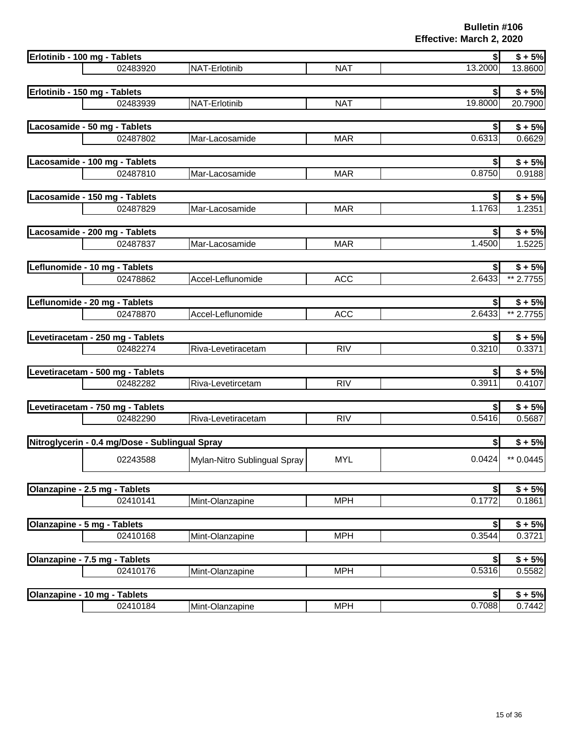| Erlotinib - 100 mg - Tablets                   |                              |            | $\bullet$                 | $$+5%$              |
|------------------------------------------------|------------------------------|------------|---------------------------|---------------------|
| 02483920                                       | NAT-Erlotinib                | <b>NAT</b> | 13.2000                   | 13.8600             |
|                                                |                              |            |                           |                     |
| Erlotinib - 150 mg - Tablets                   |                              |            | \$                        | $$+5%$              |
| 02483939                                       | NAT-Erlotinib                | <b>NAT</b> | 19.8000                   | 20.7900             |
| Lacosamide - 50 mg - Tablets                   |                              |            | \$                        | $$+5%$              |
| 02487802                                       | Mar-Lacosamide               | <b>MAR</b> | 0.6313                    | 0.6629              |
|                                                |                              |            |                           |                     |
| Lacosamide - 100 mg - Tablets                  |                              |            | $\boldsymbol{\mathsf{s}}$ | $$+5%$              |
| 02487810                                       | Mar-Lacosamide               | <b>MAR</b> | 0.8750                    | 0.9188              |
| Lacosamide - 150 mg - Tablets                  |                              |            | $\boldsymbol{s}$          | $$ + 5%$            |
| 02487829                                       | Mar-Lacosamide               | <b>MAR</b> | 1.1763                    | 1.2351              |
|                                                |                              |            |                           |                     |
| Lacosamide - 200 mg - Tablets                  |                              |            | \$                        | $$ + 5%$            |
| 02487837                                       | Mar-Lacosamide               | <b>MAR</b> | 1.4500                    | 1.5225              |
|                                                |                              |            |                           |                     |
| Leflunomide - 10 mg - Tablets<br>02478862      | Accel-Leflunomide            | <b>ACC</b> | \$ <br>2.6433             | $$+5%$<br>** 2.7755 |
|                                                |                              |            |                           |                     |
| Leflunomide - 20 mg - Tablets                  |                              |            | $\boldsymbol{s}$          | $$+5%$              |
| 02478870                                       | Accel-Leflunomide            | <b>ACC</b> | 2.6433                    | ** 2.7755           |
| Levetiracetam - 250 mg - Tablets               |                              |            | $\boldsymbol{s}$          | $$ + 5%$            |
| 02482274                                       | Riva-Levetiracetam           | RIV        | 0.3210                    | 0.3371              |
|                                                |                              |            |                           |                     |
| Levetiracetam - 500 mg - Tablets               |                              |            | \$                        | $$+5%$              |
| 02482282                                       | Riva-Levetircetam            | <b>RIV</b> | 0.3911                    | 0.4107              |
| Levetiracetam - 750 mg - Tablets               |                              |            |                           | $$ + 5%$            |
| 02482290                                       | Riva-Levetiracetam           | <b>RIV</b> | 0.5416                    | 0.5687              |
|                                                |                              |            |                           |                     |
| Nitroglycerin - 0.4 mg/Dose - Sublingual Spray |                              |            | \$                        | $$+5%$              |
| 02243588                                       | Mylan-Nitro Sublingual Spray | <b>MYL</b> | 0.0424                    | ** 0.0445           |
|                                                |                              |            |                           |                     |
| Olanzapine - 2.5 mg - Tablets                  |                              |            | \$                        | $$+5%$              |
| 02410141                                       | Mint-Olanzapine              | <b>MPH</b> | 0.1772                    | 0.1861              |
|                                                |                              |            |                           |                     |
| Olanzapine - 5 mg - Tablets                    |                              |            | \$                        | $\sqrt{$ + 5\%}$    |
| 02410168                                       | Mint-Olanzapine              | <b>MPH</b> | 0.3544                    | 0.3721              |
| Olanzapine - 7.5 mg - Tablets                  |                              |            | \$                        | $\sqrt{$ + 5\%}$    |
| 02410176                                       | Mint-Olanzapine              | <b>MPH</b> | 0.5316                    | 0.5582              |
|                                                |                              |            |                           |                     |
| Olanzapine - 10 mg - Tablets                   |                              |            | \$                        | $$+5%$              |
| 02410184                                       | Mint-Olanzapine              | <b>MPH</b> | 0.7088                    | 0.7442              |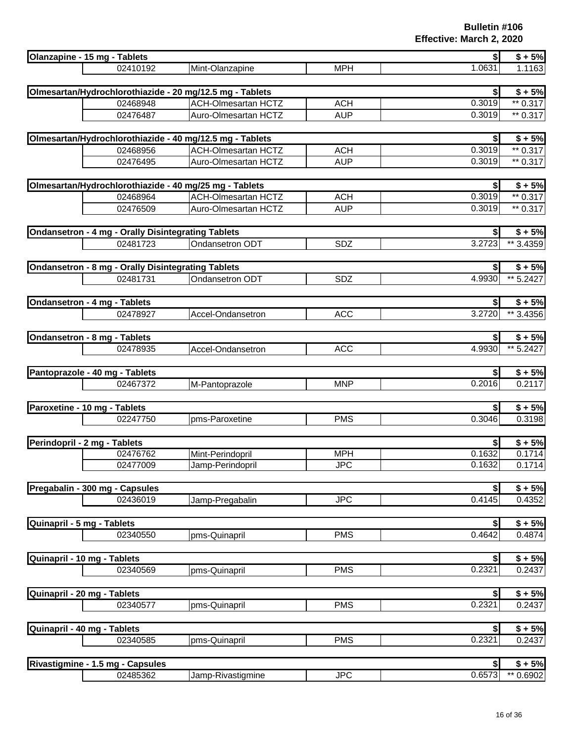| Olanzapine - 15 mg - Tablets                                   |                                                          |            | $\boldsymbol{s}$          | $$+5%$              |
|----------------------------------------------------------------|----------------------------------------------------------|------------|---------------------------|---------------------|
| 02410192                                                       | Mint-Olanzapine                                          | <b>MPH</b> | 1.0631                    | 1.1163              |
|                                                                | Olmesartan/Hydrochlorothiazide - 20 mg/12.5 mg - Tablets |            |                           | $$ + 5%$            |
| 02468948                                                       | <b>ACH-Olmesartan HCTZ</b>                               | <b>ACH</b> | 0.3019                    | $** 0.317$          |
| 02476487                                                       | Auro-Olmesartan HCTZ                                     | <b>AUP</b> | 0.3019                    | $** 0.317$          |
|                                                                |                                                          |            |                           |                     |
|                                                                | Olmesartan/Hydrochlorothiazide - 40 mg/12.5 mg - Tablets |            | $\boldsymbol{\mathsf{s}}$ | $$+5%$              |
| 02468956                                                       | <b>ACH-Olmesartan HCTZ</b>                               | <b>ACH</b> | 0.3019                    | $*$ 0.317           |
| 02476495                                                       | Auro-Olmesartan HCTZ                                     | <b>AUP</b> | 0.3019                    | ** 0.317            |
| Olmesartan/Hydrochlorothiazide - 40 mg/25 mg - Tablets         |                                                          |            | $\boldsymbol{s}$          | $$+5%$              |
| 02468964                                                       | <b>ACH-Olmesartan HCTZ</b>                               | <b>ACH</b> | 0.3019                    | $*$ 0.317           |
| 02476509                                                       | Auro-Olmesartan HCTZ                                     | <b>AUP</b> | 0.3019                    | ** 0.317            |
|                                                                |                                                          |            |                           |                     |
| <b>Ondansetron - 4 mg - Orally Disintegrating Tablets</b>      |                                                          |            |                           | $$+5%$              |
| 02481723                                                       | Ondansetron ODT                                          | SDZ        | 3.2723                    | ** 3.4359           |
|                                                                |                                                          |            |                           |                     |
| Ondansetron - 8 mg - Orally Disintegrating Tablets<br>02481731 | Ondansetron ODT                                          | SDZ        | \$l<br>4.9930             | $$+5%$<br>** 5.2427 |
|                                                                |                                                          |            |                           |                     |
| Ondansetron - 4 mg - Tablets                                   |                                                          |            | \$l                       | $$+5%$              |
| 02478927                                                       | Accel-Ondansetron                                        | <b>ACC</b> | 3.2720                    | ** 3.4356           |
|                                                                |                                                          |            |                           |                     |
| Ondansetron - 8 mg - Tablets                                   |                                                          |            | $\boldsymbol{s}$          | $$+5%$              |
| 02478935                                                       | Accel-Ondansetron                                        | <b>ACC</b> | 4.9930                    | ** 5.2427           |
| Pantoprazole - 40 mg - Tablets                                 |                                                          |            | \$                        | $$+5%$              |
| 02467372                                                       | M-Pantoprazole                                           | <b>MNP</b> | 0.2016                    | 0.2117              |
|                                                                |                                                          |            |                           |                     |
| Paroxetine - 10 mg - Tablets                                   |                                                          |            | \$                        | $$+5%$              |
| 02247750                                                       | pms-Paroxetine                                           | <b>PMS</b> | 0.3046                    | 0.3198              |
| Perindopril - 2 mg - Tablets                                   |                                                          |            | s                         | $$+5%$              |
| 02476762                                                       | Mint-Perindopril                                         | <b>MPH</b> | 0.1632                    | 0.1714              |
| 02477009                                                       | Jamp-Perindopril                                         | <b>JPC</b> | 0.1632                    | 0.1714              |
|                                                                |                                                          |            |                           |                     |
| Pregabalin - 300 mg - Capsules                                 |                                                          |            | \$                        | $$ + 5%$            |
| 02436019                                                       | Jamp-Pregabalin                                          | <b>JPC</b> | 0.4145                    | 0.4352              |
|                                                                |                                                          |            |                           |                     |
| Quinapril - 5 mg - Tablets                                     |                                                          |            |                           | $$+5%$              |
| 02340550                                                       | pms-Quinapril                                            | <b>PMS</b> | 0.4642                    | 0.4874              |
| Quinapril - 10 mg - Tablets                                    |                                                          |            |                           | $$+5%$              |
| 02340569                                                       | pms-Quinapril                                            | <b>PMS</b> | 0.2321                    | 0.2437              |
|                                                                |                                                          |            |                           |                     |
| Quinapril - 20 mg - Tablets                                    |                                                          |            | \$l                       | $$+5%$              |
| 02340577                                                       | pms-Quinapril                                            | <b>PMS</b> | 0.2321                    | 0.2437              |
|                                                                |                                                          |            |                           |                     |
| Quinapril - 40 mg - Tablets<br>02340585                        |                                                          | <b>PMS</b> | \$l<br>0.2321             | $$ + 5%$<br>0.2437  |
|                                                                | pms-Quinapril                                            |            |                           |                     |
| Rivastigmine - 1.5 mg - Capsules                               |                                                          |            | \$                        | $$+5%$              |
| 02485362                                                       | Jamp-Rivastigmine                                        | <b>JPC</b> | 0.6573                    | ** 0.6902           |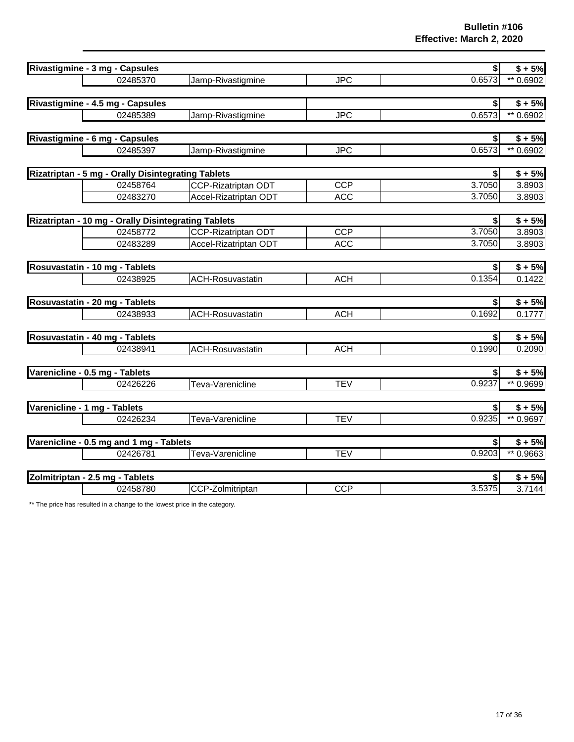| Rivastigmine - 3 mg - Capsules                      |                            |            | $\boldsymbol{s}$ | $$+5%$                 |
|-----------------------------------------------------|----------------------------|------------|------------------|------------------------|
| 02485370                                            | Jamp-Rivastigmine          | <b>JPC</b> | 0.6573           | ** 0.6902              |
|                                                     |                            |            |                  |                        |
| Rivastigmine - 4.5 mg - Capsules                    |                            |            | \$               | $$+5%$                 |
| 02485389                                            | Jamp-Rivastigmine          | <b>JPC</b> | 0.6573           | ** 0.6902              |
|                                                     |                            |            |                  |                        |
| Rivastigmine - 6 mg - Capsules                      |                            |            | $\boldsymbol{s}$ | $$+5%$                 |
| 02485397                                            | Jamp-Rivastigmine          | <b>JPC</b> | 0.6573           | $\overline{1*}$ 0.6902 |
|                                                     |                            |            |                  |                        |
| Rizatriptan - 5 mg - Orally Disintegrating Tablets  |                            |            | $\boldsymbol{s}$ | $$+5%$                 |
| 02458764                                            | <b>CCP-Rizatriptan ODT</b> | <b>CCP</b> | 3.7050           | 3.8903                 |
| 02483270                                            | Accel-Rizatriptan ODT      | <b>ACC</b> | 3.7050           | 3.8903                 |
|                                                     |                            |            |                  |                        |
| Rizatriptan - 10 mg - Orally Disintegrating Tablets |                            |            | $\boldsymbol{s}$ | $\overline{$ + 5\%}$   |
| 02458772                                            | <b>CCP-Rizatriptan ODT</b> | <b>CCP</b> | 3.7050           | 3.8903                 |
| 02483289                                            | Accel-Rizatriptan ODT      | <b>ACC</b> | 3.7050           | 3.8903                 |
| Rosuvastatin - 10 mg - Tablets                      |                            |            | $\boldsymbol{s}$ | $$+5%$                 |
| 02438925                                            | <b>ACH-Rosuvastatin</b>    | <b>ACH</b> | 0.1354           | 0.1422                 |
|                                                     |                            |            |                  |                        |
| Rosuvastatin - 20 mg - Tablets                      |                            |            | $\bullet$        | $$+5%$                 |
| 02438933                                            | <b>ACH-Rosuvastatin</b>    | <b>ACH</b> | 0.1692           | 0.1777                 |
|                                                     |                            |            |                  |                        |
| Rosuvastatin - 40 mg - Tablets                      |                            |            | $\left  \right $ | $$+5%$                 |
| 02438941                                            | <b>ACH-Rosuvastatin</b>    | <b>ACH</b> | 0.1990           | 0.2090                 |
|                                                     |                            |            |                  |                        |
| Varenicline - 0.5 mg - Tablets                      |                            |            | \$               | $$+5%$                 |
| 02426226                                            | Teva-Varenicline           | <b>TEV</b> | 0.9237           | ** 0.9699              |
|                                                     |                            |            |                  |                        |
| Varenicline - 1 mg - Tablets                        |                            |            | \$               | $$+5%$                 |
| 02426234                                            | Teva-Varenicline           | <b>TEV</b> | 0.9235           | ** 0.9697              |
| Varenicline - 0.5 mg and 1 mg - Tablets             |                            |            | \$               | $$ + 5%$               |
| 02426781                                            | Teva-Varenicline           | <b>TEV</b> | 0.9203           | ** 0.9663              |
|                                                     |                            |            |                  |                        |
| Zolmitriptan - 2.5 mg - Tablets                     |                            |            | \$               | $$+5%$                 |
| 02458780                                            | CCP-Zolmitriptan           | CCP        | 3.5375           | 3.7144                 |
|                                                     |                            |            |                  |                        |

\*\* The price has resulted in a change to the lowest price in the category.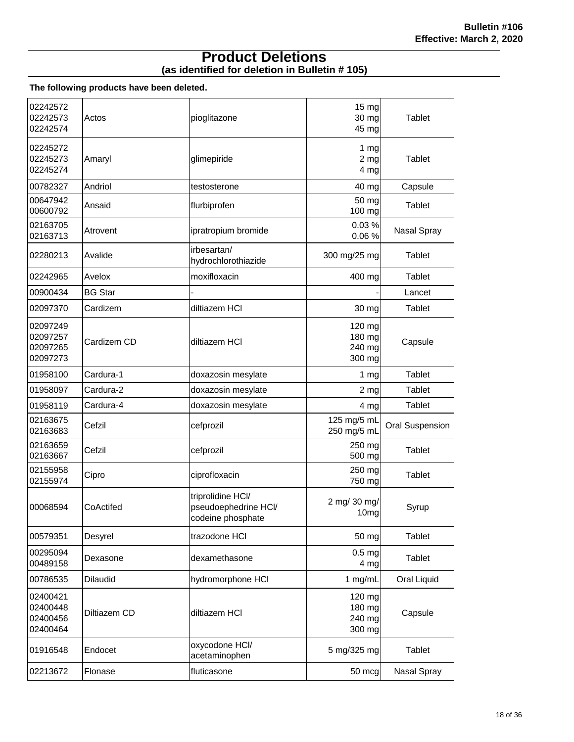#### **(as identified for deletion in Bulletin # 105) Product Deletions**

#### **The following products have been deleted.**

| 02242572<br>02242573<br>02242574             | Actos          | pioglitazone                                                   | 15 <sub>mg</sub><br>30 mg<br>45 mg         | Tablet          |
|----------------------------------------------|----------------|----------------------------------------------------------------|--------------------------------------------|-----------------|
| 02245272<br>02245273<br>02245274             | Amaryl         | glimepiride                                                    | 1 <sub>mg</sub><br>2 <sub>mg</sub><br>4 mg | Tablet          |
| 00782327                                     | Andriol        | testosterone                                                   | 40 mg                                      | Capsule         |
| 00647942<br>00600792                         | Ansaid         | flurbiprofen                                                   | 50 mg<br>100 mg                            | Tablet          |
| 02163705<br>02163713                         | Atrovent       | ipratropium bromide                                            | 0.03%<br>0.06%                             | Nasal Spray     |
| 02280213                                     | Avalide        | irbesartan/<br>hydrochlorothiazide                             | 300 mg/25 mg                               | Tablet          |
| 02242965                                     | Avelox         | moxifloxacin                                                   | 400 mg                                     | Tablet          |
| 00900434                                     | <b>BG Star</b> |                                                                |                                            | Lancet          |
| 02097370                                     | Cardizem       | diltiazem HCI                                                  | 30 mg                                      | Tablet          |
| 02097249<br>02097257<br>02097265<br>02097273 | Cardizem CD    | diltiazem HCI                                                  | 120 mg<br>180 mg<br>240 mg<br>300 mg       | Capsule         |
| 01958100                                     | Cardura-1      | doxazosin mesylate                                             | 1 <sub>mg</sub>                            | Tablet          |
| 01958097                                     | Cardura-2      | doxazosin mesylate                                             | 2 mg                                       | Tablet          |
| 01958119                                     | Cardura-4      | doxazosin mesylate                                             | 4 mg                                       | Tablet          |
| 02163675<br>02163683                         | Cefzil         | cefprozil                                                      | 125 mg/5 mL<br>250 mg/5 mL                 | Oral Suspension |
| 02163659<br>02163667                         | Cefzil         | cefprozil                                                      | 250 mg<br>500 mg                           | Tablet          |
| 02155958<br>02155974                         | Cipro          | ciprofloxacin                                                  | 250 mg<br>750 mg                           | Tablet          |
| 00068594                                     | CoActifed      | triprolidine HCI/<br>pseudoephedrine HCI/<br>codeine phosphate | 2 mg/ 30 mg/<br>10 <sub>mg</sub>           | Syrup           |
| 00579351                                     | Desyrel        | trazodone HCI                                                  | 50 mg                                      | Tablet          |
| 00295094<br>00489158                         | Dexasone       | dexamethasone                                                  | 0.5 <sub>mg</sub><br>4 <sub>mg</sub>       | Tablet          |
| 00786535                                     | Dilaudid       | hydromorphone HCI                                              | 1 mg/mL                                    | Oral Liquid     |
| 02400421<br>02400448<br>02400456<br>02400464 | Diltiazem CD   | diltiazem HCI                                                  | 120 mg<br>180 mg<br>240 mg<br>300 mg       | Capsule         |
| 01916548                                     | Endocet        | oxycodone HCI/<br>acetaminophen                                | 5 mg/325 mg                                | Tablet          |
| 02213672                                     | Flonase        | fluticasone                                                    | 50 mcg                                     | Nasal Spray     |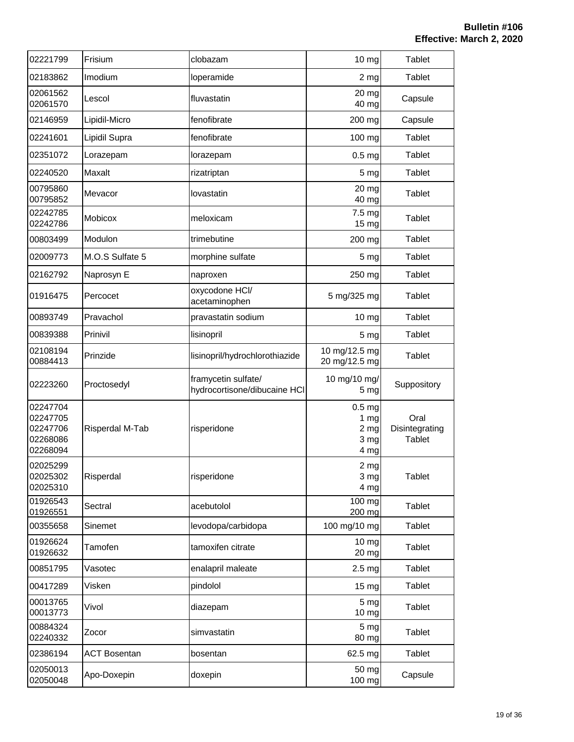| 02221799                                                 | Frisium             | clobazam                                            | 10 mg                                                                   | <b>Tablet</b>                           |
|----------------------------------------------------------|---------------------|-----------------------------------------------------|-------------------------------------------------------------------------|-----------------------------------------|
| 02183862                                                 | Imodium             | loperamide                                          | 2 <sub>mg</sub>                                                         | <b>Tablet</b>                           |
| 02061562<br>02061570                                     | Lescol              | fluvastatin                                         | 20 mg<br>40 mg                                                          | Capsule                                 |
| 02146959                                                 | Lipidil-Micro       | fenofibrate                                         | 200 mg                                                                  | Capsule                                 |
| 02241601                                                 | Lipidil Supra       | fenofibrate                                         | 100 mg                                                                  | Tablet                                  |
| 02351072                                                 | Lorazepam           | lorazepam                                           | 0.5 <sub>mg</sub>                                                       | Tablet                                  |
| 02240520                                                 | Maxalt              | rizatriptan                                         | 5 <sub>mg</sub>                                                         | <b>Tablet</b>                           |
| 00795860<br>00795852                                     | Mevacor             | lovastatin                                          | 20 mg<br>40 mg                                                          | <b>Tablet</b>                           |
| 02242785<br>02242786                                     | Mobicox             | meloxicam                                           | 7.5 mg<br>15 mg                                                         | Tablet                                  |
| 00803499                                                 | Modulon             | trimebutine                                         | 200 mg                                                                  | <b>Tablet</b>                           |
| 02009773                                                 | M.O.S Sulfate 5     | morphine sulfate                                    | 5 <sub>mg</sub>                                                         | Tablet                                  |
| 02162792                                                 | Naprosyn E          | naproxen                                            | 250 mg                                                                  | Tablet                                  |
| 01916475                                                 | Percocet            | oxycodone HCl/<br>acetaminophen                     | 5 mg/325 mg                                                             | Tablet                                  |
| 00893749                                                 | Pravachol           | pravastatin sodium                                  | 10 <sub>mg</sub>                                                        | <b>Tablet</b>                           |
| 00839388                                                 | Prinivil            | lisinopril                                          | 5 <sub>mg</sub>                                                         | Tablet                                  |
| 02108194<br>00884413                                     | Prinzide            | lisinopril/hydrochlorothiazide                      | 10 mg/12.5 mg<br>20 mg/12.5 mg                                          | <b>Tablet</b>                           |
| 02223260                                                 | Proctosedyl         | framycetin sulfate/<br>hydrocortisone/dibucaine HCI | 10 mg/10 mg/<br>5 <sub>mg</sub>                                         | Suppository                             |
| 02247704<br>02247705<br>02247706<br>02268086<br>02268094 | Risperdal M-Tab     | risperidone                                         | 0.5 <sub>mg</sub><br>1 <sub>mg</sub><br>2 <sub>mg</sub><br>3 mg<br>4 mg | Oral<br>Disintegrating<br><b>Tablet</b> |
| 02025299<br>02025302<br>02025310                         | Risperdal           | risperidone                                         | $2 \, \text{mg}$<br>3 mg<br>4 mg                                        | <b>Tablet</b>                           |
| 01926543<br>01926551                                     | Sectral             | acebutolol                                          | $\overline{1}00$ mg<br>200 mg                                           | Tablet                                  |
| 00355658                                                 | Sinemet             | levodopa/carbidopa                                  | 100 mg/10 mg                                                            | Tablet                                  |
| 01926624<br>01926632                                     | Tamofen             | tamoxifen citrate                                   | 10 <sub>mg</sub><br>20 mg                                               | Tablet                                  |
| 00851795                                                 | Vasotec             | enalapril maleate                                   | 2.5 <sub>mg</sub>                                                       | Tablet                                  |
| 00417289                                                 | Visken              | pindolol                                            | 15 mg                                                                   | Tablet                                  |
| 00013765<br>00013773                                     | Vivol               | diazepam                                            | 5 <sub>mg</sub><br>10 mg                                                | <b>Tablet</b>                           |
| 00884324<br>02240332                                     | Zocor               | simvastatin                                         | 5 <sub>mg</sub><br>80 mg                                                | Tablet                                  |
| 02386194                                                 | <b>ACT Bosentan</b> | bosentan                                            | 62.5 mg                                                                 | Tablet                                  |
| 02050013<br>02050048                                     | Apo-Doxepin         | doxepin                                             | 50 mg<br>100 mg                                                         | Capsule                                 |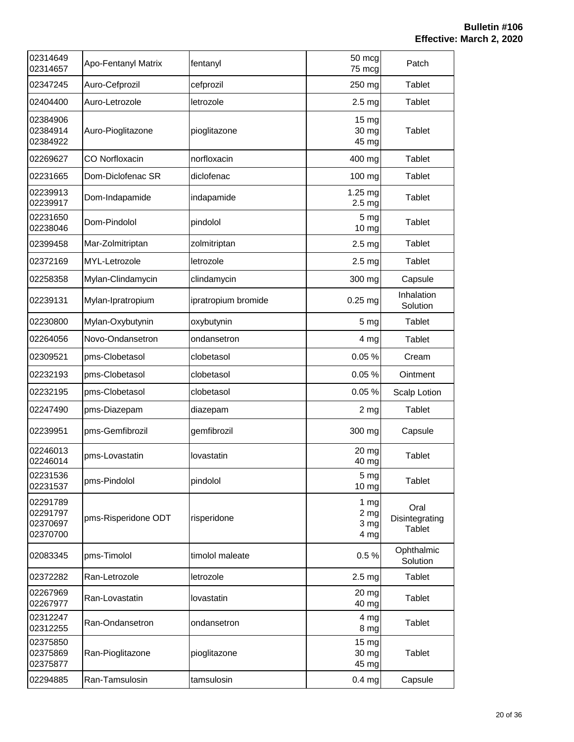| 02314649<br>02314657                         | <b>Apo-Fentanyl Matrix</b> | fentanyl            | 50 mcg<br>75 mcg                                    | Patch                                   |
|----------------------------------------------|----------------------------|---------------------|-----------------------------------------------------|-----------------------------------------|
| 02347245                                     | Auro-Cefprozil             | cefprozil           | 250 mg                                              | <b>Tablet</b>                           |
| 02404400                                     | Auro-Letrozole             | letrozole           | 2.5 <sub>mg</sub>                                   | Tablet                                  |
| 02384906<br>02384914<br>02384922             | Auro-Pioglitazone          | pioglitazone        | 15 mg<br>30 mg<br>45 mg                             | Tablet                                  |
| 02269627                                     | <b>CO Norfloxacin</b>      | norfloxacin         | 400 mg                                              | Tablet                                  |
| 02231665                                     | Dom-Diclofenac SR          | diclofenac          | 100 mg                                              | Tablet                                  |
| 02239913<br>02239917                         | Dom-Indapamide             | indapamide          | 1.25 mg<br>2.5 <sub>mg</sub>                        | Tablet                                  |
| 02231650<br>02238046                         | Dom-Pindolol               | pindolol            | 5 mg<br>10 mg                                       | Tablet                                  |
| 02399458                                     | Mar-Zolmitriptan           | zolmitriptan        | 2.5 <sub>mg</sub>                                   | Tablet                                  |
| 02372169                                     | MYL-Letrozole              | letrozole           | 2.5 <sub>mg</sub>                                   | Tablet                                  |
| 02258358                                     | Mylan-Clindamycin          | clindamycin         | 300 mg                                              | Capsule                                 |
| 02239131                                     | Mylan-Ipratropium          | ipratropium bromide | $0.25$ mg                                           | Inhalation<br>Solution                  |
| 02230800                                     | Mylan-Oxybutynin           | oxybutynin          | 5 <sub>mg</sub>                                     | Tablet                                  |
| 02264056                                     | Novo-Ondansetron           | ondansetron         | 4 mg                                                | Tablet                                  |
| 02309521                                     | pms-Clobetasol             | clobetasol          | 0.05%                                               | Cream                                   |
| 02232193                                     | pms-Clobetasol             | clobetasol          | 0.05%                                               | Ointment                                |
| 02232195                                     | pms-Clobetasol             | clobetasol          | 0.05%                                               | Scalp Lotion                            |
| 02247490                                     | pms-Diazepam               | diazepam            | $2 \, mg$                                           | <b>Tablet</b>                           |
| 02239951                                     | pms-Gemfibrozil            | gemfibrozil         | 300 mg                                              | Capsule                                 |
| 02246013<br>02246014                         | pms-Lovastatin             | lovastatin          | 20 mg<br>40 mg                                      | Tablet                                  |
| 02231536<br>02231537                         | pms-Pindolol               | pindolol            | 5 mg<br>10 <sub>mg</sub>                            | <b>Tablet</b>                           |
| 02291789<br>02291797<br>02370697<br>02370700 | pms-Risperidone ODT        | risperidone         | $1 \, \text{mg}$<br>2 <sub>mg</sub><br>3 mg<br>4 mg | Oral<br>Disintegrating<br><b>Tablet</b> |
| 02083345                                     | pms-Timolol                | timolol maleate     | 0.5%                                                | Ophthalmic<br>Solution                  |
| 02372282                                     | Ran-Letrozole              | letrozole           | 2.5 <sub>mg</sub>                                   | Tablet                                  |
| 02267969<br>02267977                         | Ran-Lovastatin             | lovastatin          | 20 mg<br>40 mg                                      | Tablet                                  |
| 02312247<br>02312255                         | Ran-Ondansetron            | ondansetron         | 4 mg<br>8 mg                                        | Tablet                                  |
| 02375850<br>02375869<br>02375877             | Ran-Pioglitazone           | pioglitazone        | $15 \text{ mg}$<br>30 mg<br>45 mg                   | <b>Tablet</b>                           |
| 02294885                                     | Ran-Tamsulosin             | tamsulosin          | $0.4$ mg                                            | Capsule                                 |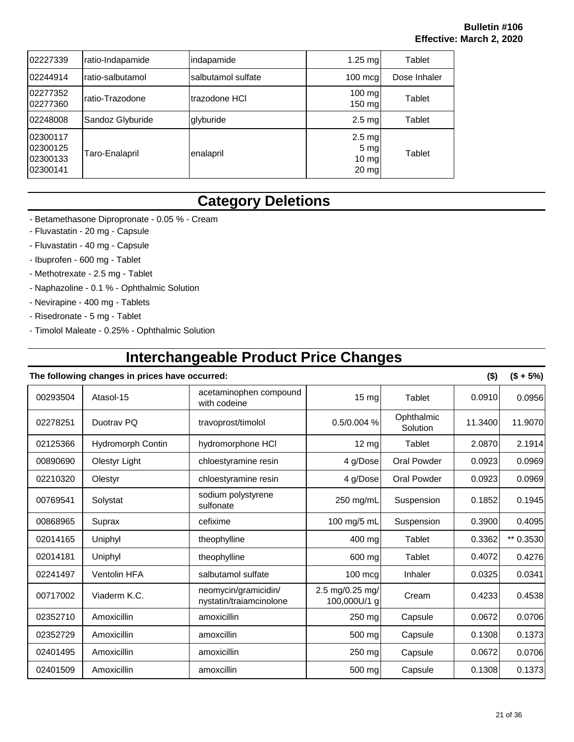| 02227339                                     | ratio-Indapamide | indapamide         | $1.25$ ma                                                        | Tablet       |
|----------------------------------------------|------------------|--------------------|------------------------------------------------------------------|--------------|
| 02244914                                     | ratio-salbutamol | salbutamol sulfate | $100 \text{ mca}$                                                | Dose Inhaler |
| 02277352<br>02277360                         | ratio-Trazodone  | trazodone HCI      | 100 mg<br>$150$ mg                                               | Tablet       |
| 02248008                                     | Sandoz Glyburide | glyburide          | $2.5$ mg                                                         | Tablet       |
| 02300117<br>02300125<br>02300133<br>02300141 | Taro-Enalapril   | enalapril          | $2.5 \text{ mg}$<br>5 mg<br>$10 \, \text{mg}$<br>$20 \text{ mg}$ | Tablet       |

## **Category Deletions**

- Betamethasone Dipropronate 0.05 % Cream
- Fluvastatin 20 mg Capsule
- Fluvastatin 40 mg Capsule
- Ibuprofen 600 mg Tablet
- Methotrexate 2.5 mg Tablet
- Naphazoline 0.1 % Ophthalmic Solution
- Nevirapine 400 mg Tablets
- Risedronate 5 mg Tablet
- Timolol Maleate 0.25% Ophthalmic Solution

## **Interchangeable Product Price Changes**

|          | The following changes in prices have occurred: |                                                 |                                 |                        | $($ \$) | $($ + 5\%)$ |
|----------|------------------------------------------------|-------------------------------------------------|---------------------------------|------------------------|---------|-------------|
| 00293504 | Atasol-15                                      | acetaminophen compound<br>with codeine          | 15 mg                           | Tablet                 | 0.0910  | 0.0956      |
| 02278251 | Duotray PQ                                     | travoprost/timolol                              | 0.5/0.004 %                     | Ophthalmic<br>Solution | 11.3400 | 11.9070     |
| 02125366 | Hydromorph Contin                              | hydromorphone HCI                               | 12 mg                           | Tablet                 | 2.0870  | 2.1914      |
| 00890690 | Olestyr Light                                  | chloestyramine resin                            | 4 g/Dose                        | <b>Oral Powder</b>     | 0.0923  | 0.0969      |
| 02210320 | Olestyr                                        | chloestyramine resin                            | 4 g/Dose                        | <b>Oral Powder</b>     | 0.0923  | 0.0969      |
| 00769541 | Solystat                                       | sodium polystyrene<br>sulfonate                 | 250 mg/mL                       | Suspension             | 0.1852  | 0.1945      |
| 00868965 | Suprax                                         | cefixime                                        | 100 mg/5 mL                     | Suspension             | 0.3900  | 0.4095      |
| 02014165 | Uniphyl                                        | theophylline                                    | 400 mg                          | Tablet                 | 0.3362  | ** 0.3530   |
| 02014181 | Uniphyl                                        | theophylline                                    | 600 mg                          | Tablet                 | 0.4072  | 0.4276      |
| 02241497 | <b>Ventolin HFA</b>                            | salbutamol sulfate                              | $100$ mcg                       | Inhaler                | 0.0325  | 0.0341      |
| 00717002 | Viaderm K.C.                                   | neomycin/gramicidin/<br>nystatin/traiamcinolone | 2.5 mg/0.25 mg/<br>100,000U/1 g | Cream                  | 0.4233  | 0.4538      |
| 02352710 | Amoxicillin                                    | amoxicillin                                     | 250 mg                          | Capsule                | 0.0672  | 0.0706      |
| 02352729 | Amoxicillin                                    | amoxcillin                                      | 500 mg                          | Capsule                | 0.1308  | 0.1373      |
| 02401495 | Amoxicillin                                    | amoxicillin                                     | 250 mg                          | Capsule                | 0.0672  | 0.0706      |
| 02401509 | Amoxicillin                                    | amoxcillin                                      | 500 mg                          | Capsule                | 0.1308  | 0.1373      |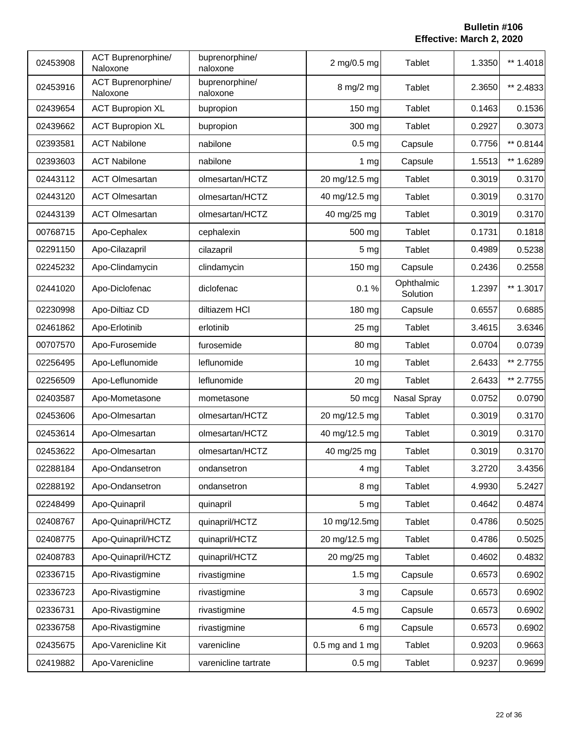| 02453908 | <b>ACT Buprenorphine/</b><br>Naloxone | buprenorphine/<br>naloxone | 2 mg/0.5 mg       | Tablet                 | 1.3350 | ** 1.4018 |
|----------|---------------------------------------|----------------------------|-------------------|------------------------|--------|-----------|
| 02453916 | ACT Buprenorphine/<br>Naloxone        | buprenorphine/<br>naloxone | 8 mg/2 mg         | Tablet                 | 2.3650 | ** 2.4833 |
| 02439654 | <b>ACT Bupropion XL</b>               | bupropion                  | 150 mg            | <b>Tablet</b>          | 0.1463 | 0.1536    |
| 02439662 | <b>ACT Bupropion XL</b>               | bupropion                  | 300 mg            | <b>Tablet</b>          | 0.2927 | 0.3073    |
| 02393581 | <b>ACT Nabilone</b>                   | nabilone                   | 0.5 <sub>mg</sub> | Capsule                | 0.7756 | ** 0.8144 |
| 02393603 | <b>ACT Nabilone</b>                   | nabilone                   | 1 <sub>mg</sub>   | Capsule                | 1.5513 | ** 1.6289 |
| 02443112 | <b>ACT Olmesartan</b>                 | olmesartan/HCTZ            | 20 mg/12.5 mg     | Tablet                 | 0.3019 | 0.3170    |
| 02443120 | <b>ACT Olmesartan</b>                 | olmesartan/HCTZ            | 40 mg/12.5 mg     | <b>Tablet</b>          | 0.3019 | 0.3170    |
| 02443139 | <b>ACT Olmesartan</b>                 | olmesartan/HCTZ            | 40 mg/25 mg       | Tablet                 | 0.3019 | 0.3170    |
| 00768715 | Apo-Cephalex                          | cephalexin                 | 500 mg            | <b>Tablet</b>          | 0.1731 | 0.1818    |
| 02291150 | Apo-Cilazapril                        | cilazapril                 | 5 <sub>mg</sub>   | <b>Tablet</b>          | 0.4989 | 0.5238    |
| 02245232 | Apo-Clindamycin                       | clindamycin                | 150 mg            | Capsule                | 0.2436 | 0.2558    |
| 02441020 | Apo-Diclofenac                        | diclofenac                 | 0.1%              | Ophthalmic<br>Solution | 1.2397 | ** 1.3017 |
| 02230998 | Apo-Diltiaz CD                        | diltiazem HCI              | 180 mg            | Capsule                | 0.6557 | 0.6885    |
| 02461862 | Apo-Erlotinib                         | erlotinib                  | 25 mg             | <b>Tablet</b>          | 3.4615 | 3.6346    |
| 00707570 | Apo-Furosemide                        | furosemide                 | 80 mg             | Tablet                 | 0.0704 | 0.0739    |
| 02256495 | Apo-Leflunomide                       | leflunomide                | 10 mg             | Tablet                 | 2.6433 | ** 2.7755 |
| 02256509 | Apo-Leflunomide                       | leflunomide                | 20 mg             | Tablet                 | 2.6433 | ** 2.7755 |
| 02403587 | Apo-Mometasone                        | mometasone                 | 50 mcg            | Nasal Spray            | 0.0752 | 0.0790    |
| 02453606 | Apo-Olmesartan                        | olmesartan/HCTZ            | 20 mg/12.5 mg     | Tablet                 | 0.3019 | 0.3170    |
| 02453614 | Apo-Olmesartan                        | olmesartan/HCTZ            | 40 mg/12.5 mg     | <b>Tablet</b>          | 0.3019 | 0.3170    |
| 02453622 | Apo-Olmesartan                        | olmesartan/HCTZ            | 40 mg/25 mg       | Tablet                 | 0.3019 | 0.3170    |
| 02288184 | Apo-Ondansetron                       | ondansetron                | 4 mg              | <b>Tablet</b>          | 3.2720 | 3.4356    |
| 02288192 | Apo-Ondansetron                       | ondansetron                | 8 mg              | <b>Tablet</b>          | 4.9930 | 5.2427    |
| 02248499 | Apo-Quinapril                         | quinapril                  | 5 <sub>mg</sub>   | <b>Tablet</b>          | 0.4642 | 0.4874    |
| 02408767 | Apo-Quinapril/HCTZ                    | quinapril/HCTZ             | 10 mg/12.5mg      | Tablet                 | 0.4786 | 0.5025    |
| 02408775 | Apo-Quinapril/HCTZ                    | quinapril/HCTZ             | 20 mg/12.5 mg     | Tablet                 | 0.4786 | 0.5025    |
| 02408783 | Apo-Quinapril/HCTZ                    | quinapril/HCTZ             | 20 mg/25 mg       | Tablet                 | 0.4602 | 0.4832    |
| 02336715 | Apo-Rivastigmine                      | rivastigmine               | 1.5 <sub>mg</sub> | Capsule                | 0.6573 | 0.6902    |
| 02336723 | Apo-Rivastigmine                      | rivastigmine               | 3 mg              | Capsule                | 0.6573 | 0.6902    |
| 02336731 | Apo-Rivastigmine                      | rivastigmine               | $4.5$ mg          | Capsule                | 0.6573 | 0.6902    |
| 02336758 | Apo-Rivastigmine                      | rivastigmine               | 6 mg              | Capsule                | 0.6573 | 0.6902    |
| 02435675 | Apo-Varenicline Kit                   | varenicline                | $0.5$ mg and 1 mg | Tablet                 | 0.9203 | 0.9663    |
| 02419882 | Apo-Varenicline                       | varenicline tartrate       | 0.5 <sub>mg</sub> | Tablet                 | 0.9237 | 0.9699    |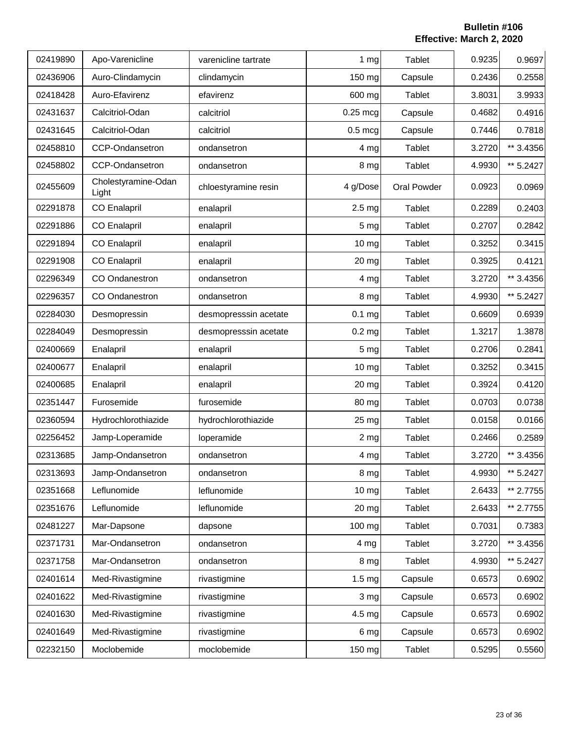| 02419890 | Apo-Varenicline              | varenicline tartrate  | $1 \, \text{mg}$  | Tablet        | 0.9235 | 0.9697    |
|----------|------------------------------|-----------------------|-------------------|---------------|--------|-----------|
| 02436906 | Auro-Clindamycin             | clindamycin           | 150 mg            | Capsule       | 0.2436 | 0.2558    |
| 02418428 | Auro-Efavirenz               | efavirenz             | 600 mg            | Tablet        | 3.8031 | 3.9933    |
| 02431637 | Calcitriol-Odan              | calcitriol            | $0.25$ mcg        | Capsule       | 0.4682 | 0.4916    |
| 02431645 | Calcitriol-Odan              | calcitriol            | $0.5 \text{ mcg}$ | Capsule       | 0.7446 | 0.7818    |
| 02458810 | CCP-Ondansetron              | ondansetron           | 4 mg              | Tablet        | 3.2720 | ** 3.4356 |
| 02458802 | CCP-Ondansetron              | ondansetron           | 8 mg              | Tablet        | 4.9930 | ** 5.2427 |
| 02455609 | Cholestyramine-Odan<br>Light | chloestyramine resin  | 4 g/Dose          | Oral Powder   | 0.0923 | 0.0969    |
| 02291878 | <b>CO Enalapril</b>          | enalapril             | 2.5 <sub>mg</sub> | Tablet        | 0.2289 | 0.2403    |
| 02291886 | <b>CO Enalapril</b>          | enalapril             | 5 mg              | <b>Tablet</b> | 0.2707 | 0.2842    |
| 02291894 | <b>CO Enalapril</b>          | enalapril             | 10 mg             | Tablet        | 0.3252 | 0.3415    |
| 02291908 | <b>CO Enalapril</b>          | enalapril             | 20 mg             | Tablet        | 0.3925 | 0.4121    |
| 02296349 | <b>CO</b> Ondanestron        | ondansetron           | 4 mg              | Tablet        | 3.2720 | ** 3.4356 |
| 02296357 | CO Ondanestron               | ondansetron           | 8 mg              | Tablet        | 4.9930 | ** 5.2427 |
| 02284030 | Desmopressin                 | desmopresssin acetate | $0.1$ mg          | Tablet        | 0.6609 | 0.6939    |
| 02284049 | Desmopressin                 | desmopresssin acetate | 0.2 <sub>mg</sub> | Tablet        | 1.3217 | 1.3878    |
| 02400669 | Enalapril                    | enalapril             | 5 mg              | <b>Tablet</b> | 0.2706 | 0.2841    |
| 02400677 | Enalapril                    | enalapril             | 10 mg             | <b>Tablet</b> | 0.3252 | 0.3415    |
| 02400685 | Enalapril                    | enalapril             | 20 mg             | Tablet        | 0.3924 | 0.4120    |
| 02351447 | Furosemide                   | furosemide            | 80 mg             | Tablet        | 0.0703 | 0.0738    |
| 02360594 | Hydrochlorothiazide          | hydrochlorothiazide   | 25 mg             | Tablet        | 0.0158 | 0.0166    |
| 02256452 | Jamp-Loperamide              | loperamide            | $2 \, mg$         | Tablet        | 0.2466 | 0.2589    |
| 02313685 | Jamp-Ondansetron             | ondansetron           | 4 mg              | Tablet        | 3.2720 | ** 3.4356 |
| 02313693 | Jamp-Ondansetron             | ondansetron           | 8 mg              | Tablet        | 4.9930 | ** 5.2427 |
| 02351668 | Leflunomide                  | leflunomide           | 10 mg             | Tablet        | 2.6433 | ** 2.7755 |
| 02351676 | Leflunomide                  | leflunomide           | 20 mg             | Tablet        | 2.6433 | ** 2.7755 |
| 02481227 | Mar-Dapsone                  | dapsone               | 100 mg            | Tablet        | 0.7031 | 0.7383    |
| 02371731 | Mar-Ondansetron              | ondansetron           | 4 mg              | Tablet        | 3.2720 | ** 3.4356 |
| 02371758 | Mar-Ondansetron              | ondansetron           | 8 mg              | Tablet        | 4.9930 | ** 5.2427 |
| 02401614 | Med-Rivastigmine             | rivastigmine          | 1.5 <sub>mg</sub> | Capsule       | 0.6573 | 0.6902    |
| 02401622 | Med-Rivastigmine             | rivastigmine          | 3 mg              | Capsule       | 0.6573 | 0.6902    |
| 02401630 | Med-Rivastigmine             | rivastigmine          | 4.5 mg            | Capsule       | 0.6573 | 0.6902    |
| 02401649 | Med-Rivastigmine             | rivastigmine          | 6 mg              | Capsule       | 0.6573 | 0.6902    |
| 02232150 | Moclobemide                  | moclobemide           | 150 mg            | Tablet        | 0.5295 | 0.5560    |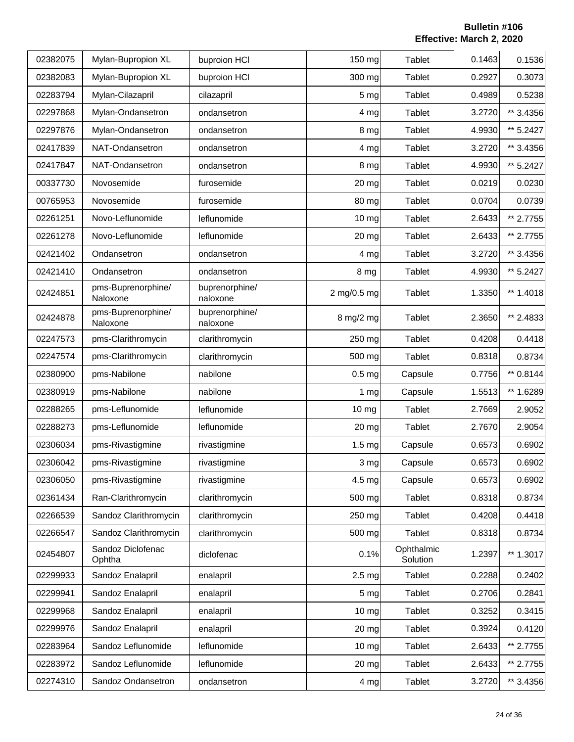| 02382075 | Mylan-Bupropion XL             | buproion HCI               | 150 mg            | <b>Tablet</b>          | 0.1463 | 0.1536    |
|----------|--------------------------------|----------------------------|-------------------|------------------------|--------|-----------|
| 02382083 | Mylan-Bupropion XL             | buproion HCI               | 300 mg            | Tablet                 | 0.2927 | 0.3073    |
| 02283794 | Mylan-Cilazapril               | cilazapril                 | 5 <sub>mg</sub>   | Tablet                 | 0.4989 | 0.5238    |
| 02297868 | Mylan-Ondansetron              | ondansetron                | 4 mg              | Tablet                 | 3.2720 | ** 3.4356 |
| 02297876 | Mylan-Ondansetron              | ondansetron                | 8 mg              | <b>Tablet</b>          | 4.9930 | ** 5.2427 |
| 02417839 | NAT-Ondansetron                | ondansetron                | 4 <sub>mg</sub>   | <b>Tablet</b>          | 3.2720 | ** 3.4356 |
| 02417847 | NAT-Ondansetron                | ondansetron                | 8 mg              | Tablet                 | 4.9930 | ** 5.2427 |
| 00337730 | Novosemide                     | furosemide                 | 20 mg             | <b>Tablet</b>          | 0.0219 | 0.0230    |
| 00765953 | Novosemide                     | furosemide                 | 80 mg             | Tablet                 | 0.0704 | 0.0739    |
| 02261251 | Novo-Leflunomide               | leflunomide                | 10 mg             | Tablet                 | 2.6433 | ** 2.7755 |
| 02261278 | Novo-Leflunomide               | leflunomide                | 20 mg             | Tablet                 | 2.6433 | ** 2.7755 |
| 02421402 | Ondansetron                    | ondansetron                | 4 mg              | Tablet                 | 3.2720 | ** 3.4356 |
| 02421410 | Ondansetron                    | ondansetron                | 8 mg              | <b>Tablet</b>          | 4.9930 | ** 5.2427 |
| 02424851 | pms-Buprenorphine/<br>Naloxone | buprenorphine/<br>naloxone | 2 mg/0.5 mg       | <b>Tablet</b>          | 1.3350 | ** 1.4018 |
| 02424878 | pms-Buprenorphine/<br>Naloxone | buprenorphine/<br>naloxone | 8 mg/2 mg         | Tablet                 | 2.3650 | ** 2.4833 |
| 02247573 | pms-Clarithromycin             | clarithromycin             | 250 mg            | <b>Tablet</b>          | 0.4208 | 0.4418    |
| 02247574 | pms-Clarithromycin             | clarithromycin             | 500 mg            | Tablet                 | 0.8318 | 0.8734    |
| 02380900 | pms-Nabilone                   | nabilone                   | 0.5 <sub>mg</sub> | Capsule                | 0.7756 | ** 0.8144 |
| 02380919 | pms-Nabilone                   | nabilone                   | 1 <sub>mg</sub>   | Capsule                | 1.5513 | ** 1.6289 |
| 02288265 | pms-Leflunomide                | leflunomide                | $10 \, mg$        | Tablet                 | 2.7669 | 2.9052    |
| 02288273 | pms-Leflunomide                | leflunomide                | 20 mg             | Tablet                 | 2.7670 | 2.9054    |
| 02306034 | pms-Rivastigmine               | rivastigmine               | 1.5 <sub>mg</sub> | Capsule                | 0.6573 | 0.6902    |
| 02306042 | pms-Rivastigmine               | rivastigmine               | 3 mg              | Capsule                | 0.6573 | 0.6902    |
| 02306050 | pms-Rivastigmine               | rivastigmine               | 4.5 <sub>mg</sub> | Capsule                | 0.6573 | 0.6902    |
| 02361434 | Ran-Clarithromycin             | clarithromycin             | 500 mg            | Tablet                 | 0.8318 | 0.8734    |
| 02266539 | Sandoz Clarithromycin          | clarithromycin             | 250 mg            | Tablet                 | 0.4208 | 0.4418    |
| 02266547 | Sandoz Clarithromycin          | clarithromycin             | 500 mg            | Tablet                 | 0.8318 | 0.8734    |
| 02454807 | Sandoz Diclofenac<br>Ophtha    | diclofenac                 | 0.1%              | Ophthalmic<br>Solution | 1.2397 | ** 1.3017 |
| 02299933 | Sandoz Enalapril               | enalapril                  | 2.5 <sub>mg</sub> | Tablet                 | 0.2288 | 0.2402    |
| 02299941 | Sandoz Enalapril               | enalapril                  | 5 mg              | Tablet                 | 0.2706 | 0.2841    |
| 02299968 | Sandoz Enalapril               | enalapril                  | $10$ mg           | Tablet                 | 0.3252 | 0.3415    |
| 02299976 | Sandoz Enalapril               | enalapril                  | 20 mg             | Tablet                 | 0.3924 | 0.4120    |
| 02283964 | Sandoz Leflunomide             | leflunomide                | $10 \, mg$        | Tablet                 | 2.6433 | ** 2.7755 |
| 02283972 | Sandoz Leflunomide             | leflunomide                | 20 mg             | Tablet                 | 2.6433 | ** 2.7755 |
| 02274310 | Sandoz Ondansetron             | ondansetron                | 4 mg              | Tablet                 | 3.2720 | ** 3.4356 |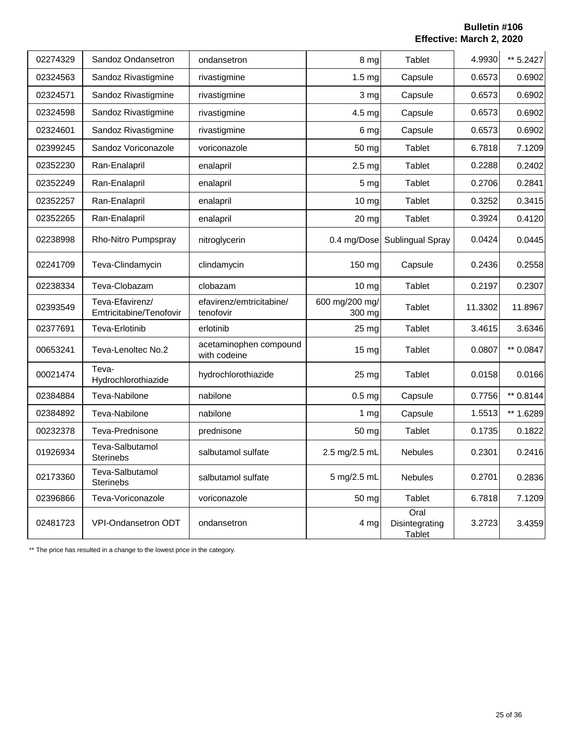| 02274329 | Sandoz Ondansetron                         | ondansetron                            | 8 mg                     | <b>Tablet</b>                           | 4.9930  | ** 5.2427 |
|----------|--------------------------------------------|----------------------------------------|--------------------------|-----------------------------------------|---------|-----------|
| 02324563 | Sandoz Rivastigmine                        | rivastigmine                           | 1.5 <sub>mg</sub>        | Capsule                                 | 0.6573  | 0.6902    |
| 02324571 | Sandoz Rivastigmine                        | rivastigmine                           | 3 mg                     | Capsule                                 | 0.6573  | 0.6902    |
| 02324598 | Sandoz Rivastigmine                        | rivastigmine                           | 4.5 <sub>mg</sub>        | Capsule                                 | 0.6573  | 0.6902    |
| 02324601 | Sandoz Rivastigmine                        | rivastigmine                           | 6 mg                     | Capsule                                 | 0.6573  | 0.6902    |
| 02399245 | Sandoz Voriconazole                        | voriconazole                           | 50 mg                    | Tablet                                  | 6.7818  | 7.1209    |
| 02352230 | Ran-Enalapril                              | enalapril                              | 2.5 <sub>mg</sub>        | Tablet                                  | 0.2288  | 0.2402    |
| 02352249 | Ran-Enalapril                              | enalapril                              | 5 <sub>mg</sub>          | Tablet                                  | 0.2706  | 0.2841    |
| 02352257 | Ran-Enalapril                              | enalapril                              | $10 \mathrm{mg}$         | Tablet                                  | 0.3252  | 0.3415    |
| 02352265 | Ran-Enalapril                              | enalapril                              | 20 mg                    | Tablet                                  | 0.3924  | 0.4120    |
| 02238998 | Rho-Nitro Pumpspray                        | nitroglycerin                          | 0.4 mg/Dose              | Sublingual Spray                        | 0.0424  | 0.0445    |
| 02241709 | Teva-Clindamycin                           | clindamycin                            | 150 mg                   | Capsule                                 | 0.2436  | 0.2558    |
| 02238334 | Teva-Clobazam                              | clobazam                               | 10 mg                    | <b>Tablet</b>                           | 0.2197  | 0.2307    |
| 02393549 | Teva-Efavirenz/<br>Emtricitabine/Tenofovir | efavirenz/emtricitabine/<br>tenofovir  | 600 mg/200 mg/<br>300 mg | Tablet                                  | 11.3302 | 11.8967   |
| 02377691 | Teva-Erlotinib                             | erlotinib                              | 25 mg                    | Tablet                                  | 3.4615  | 3.6346    |
| 00653241 | Teva-Lenoltec No.2                         | acetaminophen compound<br>with codeine | $15 \text{ mg}$          | <b>Tablet</b>                           | 0.0807  | ** 0.0847 |
| 00021474 | Teva-<br>Hydrochlorothiazide               | hydrochlorothiazide                    | 25 mg                    | <b>Tablet</b>                           | 0.0158  | 0.0166    |
| 02384884 | Teva-Nabilone                              | nabilone                               | 0.5 <sub>mg</sub>        | Capsule                                 | 0.7756  | ** 0.8144 |
| 02384892 | Teva-Nabilone                              | nabilone                               | 1 <sub>mg</sub>          | Capsule                                 | 1.5513  | ** 1.6289 |
| 00232378 | Teva-Prednisone                            | prednisone                             | 50 mg                    | Tablet                                  | 0.1735  | 0.1822    |
| 01926934 | Teva-Salbutamol<br><b>Sterinebs</b>        | salbutamol sulfate                     | 2.5 mg/2.5 mL            | <b>Nebules</b>                          | 0.2301  | 0.2416    |
| 02173360 | Teva-Salbutamol<br><b>Sterinebs</b>        | salbutamol sulfate                     | 5 mg/2.5 mL              | <b>Nebules</b>                          | 0.2701  | 0.2836    |
| 02396866 | Teva-Voriconazole                          | voriconazole                           | 50 mg                    | Tablet                                  | 6.7818  | 7.1209    |
| 02481723 | VPI-Ondansetron ODT                        | ondansetron                            | 4 mg                     | Oral<br>Disintegrating<br><b>Tablet</b> | 3.2723  | 3.4359    |

\*\* The price has resulted in a change to the lowest price in the category.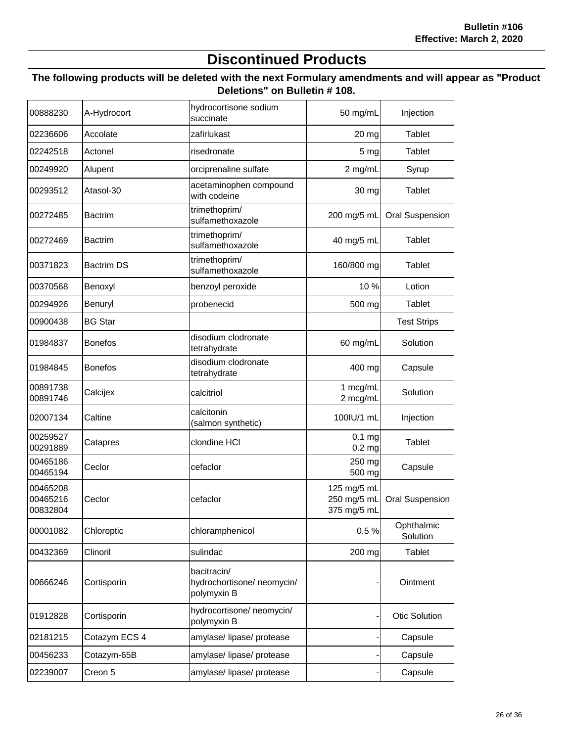## **Discontinued Products**

#### **The following products will be deleted with the next Formulary amendments and will appear as "Product Deletions" on Bulletin # 108.**

| 00888230                         | A-Hydrocort       | hydrocortisone sodium<br>succinate                      | 50 mg/mL                                  | Injection              |
|----------------------------------|-------------------|---------------------------------------------------------|-------------------------------------------|------------------------|
| 02236606                         | Accolate          | zafirlukast                                             | 20 mg                                     | Tablet                 |
| 02242518                         | Actonel           | risedronate                                             | 5 <sub>mg</sub>                           | Tablet                 |
| 00249920                         | Alupent           | orciprenaline sulfate                                   | 2 mg/mL                                   | Syrup                  |
| 00293512                         | Atasol-30         | acetaminophen compound<br>with codeine                  | 30 mg                                     | <b>Tablet</b>          |
| 00272485                         | <b>Bactrim</b>    | trimethoprim/<br>sulfamethoxazole                       | 200 mg/5 mL                               | <b>Oral Suspension</b> |
| 00272469                         | <b>Bactrim</b>    | trimethoprim/<br>sulfamethoxazole                       | 40 mg/5 mL                                | Tablet                 |
| 00371823                         | <b>Bactrim DS</b> | trimethoprim/<br>sulfamethoxazole                       | 160/800 mg                                | Tablet                 |
| 00370568                         | Benoxyl           | benzoyl peroxide                                        | 10%                                       | Lotion                 |
| 00294926                         | Benuryl           | probenecid                                              | 500 mg                                    | Tablet                 |
| 00900438                         | <b>BG Star</b>    |                                                         |                                           | <b>Test Strips</b>     |
| 01984837                         | <b>Bonefos</b>    | disodium clodronate<br>tetrahydrate                     | 60 mg/mL                                  | Solution               |
| 01984845                         | <b>Bonefos</b>    | disodium clodronate<br>tetrahydrate                     | 400 mg                                    | Capsule                |
| 00891738<br>00891746             | Calcijex          | calcitriol                                              | 1 mcg/mL<br>2 mcg/mL                      | Solution               |
| 02007134                         | Caltine           | calcitonin<br>(salmon synthetic)                        | 100IU/1 mL                                | Injection              |
| 00259527<br>00291889             | Catapres          | clondine HCI                                            | $0.1$ mg<br>0.2 <sub>mg</sub>             | Tablet                 |
| 00465186<br>00465194             | Ceclor            | cefaclor                                                | 250 mg<br>500 mg                          | Capsule                |
| 00465208<br>00465216<br>00832804 | Ceclor            | cefaclor                                                | 125 mg/5 mL<br>250 mg/5 mL<br>375 mg/5 mL | <b>Oral Suspension</b> |
| 00001082                         | Chloroptic        | chloramphenicol                                         | 0.5%                                      | Ophthalmic<br>Solution |
| 00432369                         | Clinoril          | sulindac                                                | 200 mg                                    | Tablet                 |
| 00666246                         | Cortisporin       | bacitracin/<br>hydrochortisone/neomycin/<br>polymyxin B |                                           | Ointment               |
| 01912828                         | Cortisporin       | hydrocortisone/ neomycin/<br>polymyxin B                |                                           | Otic Solution          |
| 02181215                         | Cotazym ECS 4     | amylase/ lipase/ protease                               |                                           | Capsule                |
| 00456233                         | Cotazym-65B       | amylase/ lipase/ protease                               |                                           | Capsule                |
| 02239007                         | Creon 5           | amylase/ lipase/ protease                               |                                           | Capsule                |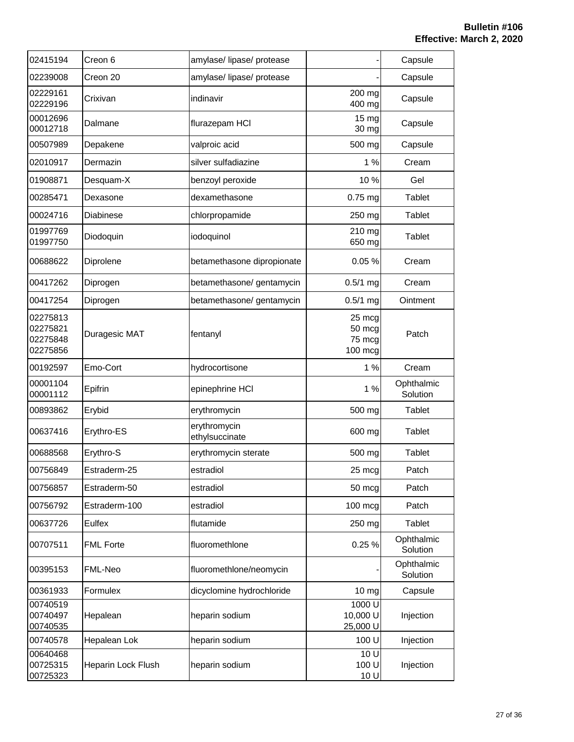| 02415194                                     | Creon 6            | amylase/ lipase/ protease      |                                       | Capsule                |
|----------------------------------------------|--------------------|--------------------------------|---------------------------------------|------------------------|
| 02239008                                     | Creon 20           | amylase/ lipase/ protease      |                                       | Capsule                |
| 02229161<br>02229196                         | Crixivan           | indinavir                      | 200 mg<br>400 mg                      | Capsule                |
| 00012696<br>00012718                         | Dalmane            | flurazepam HCI                 | 15 mg<br>30 mg                        | Capsule                |
| 00507989                                     | Depakene           | valproic acid                  | 500 mg                                | Capsule                |
| 02010917                                     | Dermazin           | silver sulfadiazine            | 1%                                    | Cream                  |
| 01908871                                     | Desquam-X          | benzoyl peroxide               | 10%                                   | Gel                    |
| 00285471                                     | Dexasone           | dexamethasone                  | $0.75$ mg                             | Tablet                 |
| 00024716                                     | Diabinese          | chlorpropamide                 | 250 mg                                | Tablet                 |
| 01997769<br>01997750                         | Diodoquin          | iodoquinol                     | 210 mg<br>650 mg                      | Tablet                 |
| 00688622                                     | Diprolene          | betamethasone dipropionate     | 0.05%                                 | Cream                  |
| 00417262                                     | Diprogen           | betamethasone/ gentamycin      | $0.5/1$ mg                            | Cream                  |
| 00417254                                     | Diprogen           | betamethasone/ gentamycin      | $0.5/1$ mg                            | Ointment               |
| 02275813<br>02275821<br>02275848<br>02275856 | Duragesic MAT      | fentanyl                       | 25 mcg<br>50 mcg<br>75 mcg<br>100 mcg | Patch                  |
| 00192597                                     | Emo-Cort           | hydrocortisone                 | 1%                                    | Cream                  |
| 00001104<br>00001112                         | Epifrin            | epinephrine HCI                | 1%                                    | Ophthalmic<br>Solution |
| 00893862                                     | Erybid             | erythromycin                   | 500 mg                                | Tablet                 |
| 00637416                                     | Erythro-ES         | erythromycin<br>ethylsuccinate | 600 mg                                | Tablet                 |
| 00688568                                     | Erythro-S          | erythromycin sterate           | 500 mg                                | Tablet                 |
| 00756849                                     | Estraderm-25       | estradiol                      | 25 mcg                                | Patch                  |
| 00756857                                     | Estraderm-50       | estradiol                      | 50 mcg                                | Patch                  |
| 00756792                                     | Estraderm-100      | estradiol                      | 100 mcg                               | Patch                  |
| 00637726                                     | Eulfex             | flutamide                      | 250 mg                                | Tablet                 |
| 00707511                                     | <b>FML Forte</b>   | fluoromethlone                 | 0.25 %                                | Ophthalmic<br>Solution |
| 00395153                                     | FML-Neo            | fluoromethlone/neomycin        |                                       | Ophthalmic<br>Solution |
| 00361933                                     | Formulex           | dicyclomine hydrochloride      | 10 <sub>mg</sub>                      | Capsule                |
| 00740519<br>00740497<br>00740535             | Hepalean           | heparin sodium                 | 1000 U<br>10,000 U<br>25,000 U        | Injection              |
| 00740578                                     | Hepalean Lok       | heparin sodium                 | 100 U                                 | Injection              |
| 00640468<br>00725315<br>00725323             | Heparin Lock Flush | heparin sodium                 | 10 U<br>100 U<br>10 U                 | Injection              |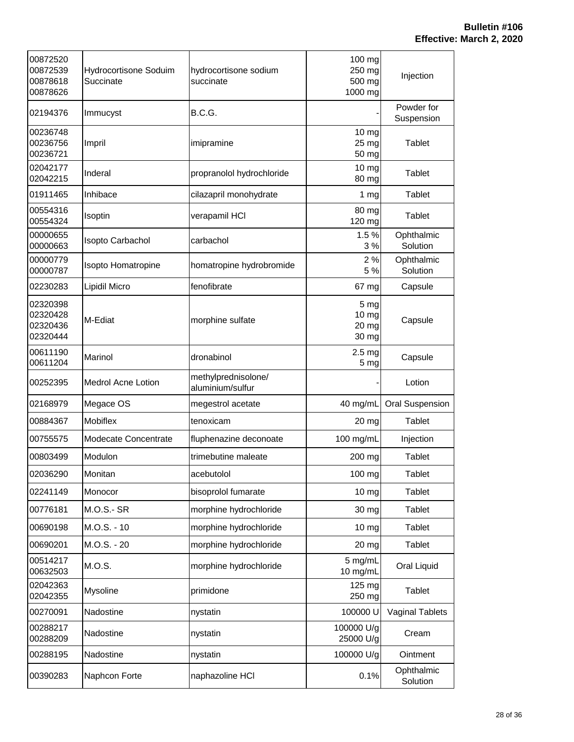| 00872520<br>00872539<br>00878618<br>00878626 | Hydrocortisone Soduim<br>Succinate | hydrocortisone sodium<br>succinate      | 100 mg<br>250 mg<br>500 mg<br>1000 mg | Injection                |
|----------------------------------------------|------------------------------------|-----------------------------------------|---------------------------------------|--------------------------|
| 02194376                                     | Immucyst                           | B.C.G.                                  |                                       | Powder for<br>Suspension |
| 00236748<br>00236756<br>00236721             | Impril                             | imipramine                              | 10 <sub>mg</sub><br>25 mg<br>50 mg    | Tablet                   |
| 02042177<br>02042215                         | Inderal                            | propranolol hydrochloride               | $10$ mg<br>80 mg                      | Tablet                   |
| 01911465                                     | Inhibace                           | cilazapril monohydrate                  | 1 <sub>mg</sub>                       | Tablet                   |
| 00554316<br>00554324                         | Isoptin                            | verapamil HCI                           | 80 mg<br>120 mg                       | Tablet                   |
| 00000655<br>00000663                         | Isopto Carbachol                   | carbachol                               | 1.5%<br>3%                            | Ophthalmic<br>Solution   |
| 00000779<br>00000787                         | Isopto Homatropine                 | homatropine hydrobromide                | 2%<br>5 %                             | Ophthalmic<br>Solution   |
| 02230283                                     | Lipidil Micro                      | fenofibrate                             | 67 mg                                 | Capsule                  |
| 02320398<br>02320428<br>02320436<br>02320444 | M-Ediat                            | morphine sulfate                        | 5 mg<br>$10 \, mg$<br>20 mg<br>30 mg  | Capsule                  |
| 00611190<br>00611204                         | Marinol                            | dronabinol                              | 2.5 <sub>mg</sub><br>5 <sub>mg</sub>  | Capsule                  |
| 00252395                                     | Medrol Acne Lotion                 | methylprednisolone/<br>aluminium/sulfur |                                       | Lotion                   |
| 02168979                                     | Megace OS                          | megestrol acetate                       | 40 mg/mL                              | <b>Oral Suspension</b>   |
| 00884367                                     | Mobiflex                           | tenoxicam                               | 20 mg                                 | <b>Tablet</b>            |
| 00755575                                     | Modecate Concentrate               | fluphenazine deconoate                  | 100 mg/mL                             | Injection                |
| 00803499                                     | Modulon                            | trimebutine maleate                     | 200 mg                                | Tablet                   |
| 02036290                                     | Monitan                            | acebutolol                              | 100 mg                                | <b>Tablet</b>            |
| 02241149                                     | Monocor                            | bisoprolol fumarate                     | $10 \, mg$                            | Tablet                   |
| 00776181                                     | <b>M.O.S.- SR</b>                  | morphine hydrochloride                  | 30 mg                                 | Tablet                   |
| 00690198                                     | M.O.S. - 10                        | morphine hydrochloride                  | $10 \, mg$                            | <b>Tablet</b>            |
| 00690201                                     | M.O.S. - 20                        | morphine hydrochloride                  | 20 mg                                 | Tablet                   |
| 00514217<br>00632503                         | M.O.S.                             | morphine hydrochloride                  | 5 mg/mL<br>10 mg/mL                   | Oral Liquid              |
| 02042363<br>02042355                         | Mysoline                           | primidone                               | 125 mg<br>250 mg                      | <b>Tablet</b>            |
| 00270091                                     | Nadostine                          | nystatin                                | 100000 U                              | Vaginal Tablets          |
| 00288217<br>00288209                         | Nadostine                          | nystatin                                | 100000 U/g<br>25000 U/g               | Cream                    |
| 00288195                                     | Nadostine                          | nystatin                                | 100000 U/g                            | Ointment                 |
| 00390283                                     | Naphcon Forte                      | naphazoline HCI                         | 0.1%                                  | Ophthalmic<br>Solution   |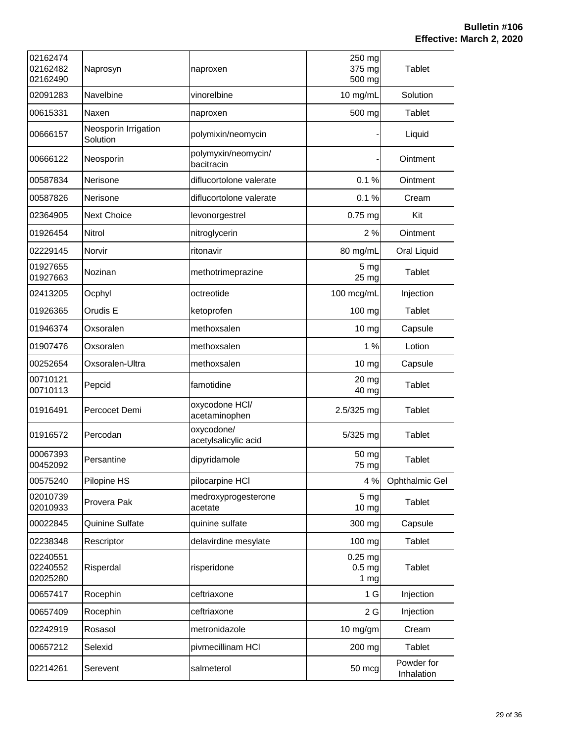| 02162474<br>02162482<br>02162490 | Naprosyn                         | naproxen                           | 250 mg<br>375 mg<br>500 mg               | Tablet                   |
|----------------------------------|----------------------------------|------------------------------------|------------------------------------------|--------------------------|
| 02091283                         | Navelbine                        | vinorelbine                        | 10 mg/mL                                 | Solution                 |
| 00615331                         | Naxen                            | naproxen                           | 500 mg                                   | Tablet                   |
| 00666157                         | Neosporin Irrigation<br>Solution | polymixin/neomycin                 |                                          | Liquid                   |
| 00666122                         | Neosporin                        | polymyxin/neomycin/<br>bacitracin  |                                          | Ointment                 |
| 00587834                         | Nerisone                         | diflucortolone valerate            | 0.1%                                     | Ointment                 |
| 00587826                         | Nerisone                         | diflucortolone valerate            | 0.1%                                     | Cream                    |
| 02364905                         | <b>Next Choice</b>               | levonorgestrel                     | 0.75 mg                                  | Kit                      |
| 01926454                         | Nitrol                           | nitroglycerin                      | 2%                                       | Ointment                 |
| 02229145                         | Norvir                           | ritonavir                          | 80 mg/mL                                 | Oral Liquid              |
| 01927655<br>01927663             | Nozinan                          | methotrimeprazine                  | 5 <sub>mg</sub><br>25 mg                 | Tablet                   |
| 02413205                         | Ocphyl                           | octreotide                         | 100 mcg/mL                               | Injection                |
| 01926365                         | Orudis E                         | ketoprofen                         | 100 mg                                   | Tablet                   |
| 01946374                         | Oxsoralen                        | methoxsalen                        | 10 mg                                    | Capsule                  |
| 01907476                         | Oxsoralen                        | methoxsalen                        | 1%                                       | Lotion                   |
| 00252654                         | Oxsoralen-Ultra                  | methoxsalen                        | 10 mg                                    | Capsule                  |
| 00710121<br>00710113             | Pepcid                           | famotidine                         | 20 mg<br>40 mg                           | Tablet                   |
| 01916491                         | Percocet Demi                    | oxycodone HCI/<br>acetaminophen    | 2.5/325 mg                               | Tablet                   |
| 01916572                         | Percodan                         | oxycodone/<br>acetylsalicylic acid | 5/325 mg                                 | Tablet                   |
| 00067393<br>00452092             | Persantine                       | dipyridamole                       | 50 mg<br>75 mg                           | <b>Tablet</b>            |
| 00575240                         | Pilopine HS                      | pilocarpine HCI                    | 4 %                                      | Ophthalmic Gel           |
| 02010739<br>02010933             | Provera Pak                      | medroxyprogesterone<br>acetate     | 5 <sub>mg</sub><br>10 <sub>mg</sub>      | Tablet                   |
| 00022845                         | Quinine Sulfate                  | quinine sulfate                    | 300 mg                                   | Capsule                  |
| 02238348                         | Rescriptor                       | delavirdine mesylate               | 100 mg                                   | Tablet                   |
| 02240551<br>02240552<br>02025280 | Risperdal                        | risperidone                        | $0.25$ mg<br>0.5 <sub>mg</sub><br>$1$ mg | Tablet                   |
| 00657417                         | Rocephin                         | ceftriaxone                        | 1 G                                      | Injection                |
| 00657409                         | Rocephin                         | ceftriaxone                        | 2G                                       | Injection                |
| 02242919                         | Rosasol                          | metronidazole                      | 10 mg/gm                                 | Cream                    |
| 00657212                         | Selexid                          | pivmecillinam HCI                  | 200 mg                                   | Tablet                   |
| 02214261                         | Serevent                         | salmeterol                         | 50 mcg                                   | Powder for<br>Inhalation |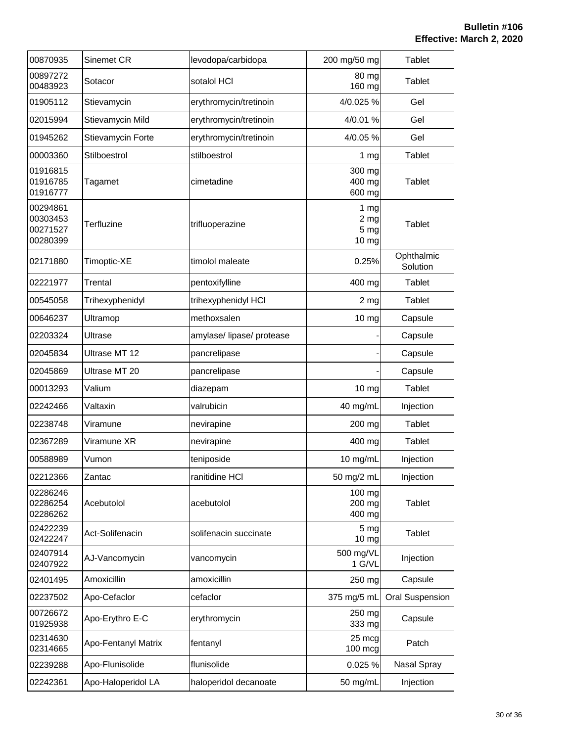| 00870935                                     | Sinemet CR          | levodopa/carbidopa        | 200 mg/50 mg                             | Tablet                 |
|----------------------------------------------|---------------------|---------------------------|------------------------------------------|------------------------|
| 00897272<br>00483923                         | Sotacor             | sotalol HCI               | 80 mg<br>160 mg                          | <b>Tablet</b>          |
| 01905112                                     | Stievamycin         | erythromycin/tretinoin    | 4/0.025 %                                | Gel                    |
| 02015994                                     | Stievamycin Mild    | erythromycin/tretinoin    | 4/0.01 %                                 | Gel                    |
| 01945262                                     | Stievamycin Forte   | erythromycin/tretinoin    | 4/0.05 %                                 | Gel                    |
| 00003360                                     | Stilboestrol        | stilboestrol              | 1 <sub>mg</sub>                          | Tablet                 |
| 01916815<br>01916785<br>01916777             | Tagamet             | cimetadine                | 300 mg<br>400 mg<br>600 mg               | Tablet                 |
| 00294861<br>00303453<br>00271527<br>00280399 | Terfluzine          | trifluoperazine           | 1 mg<br>2 <sub>mg</sub><br>5 mg<br>10 mg | Tablet                 |
| 02171880                                     | Timoptic-XE         | timolol maleate           | 0.25%                                    | Ophthalmic<br>Solution |
| 02221977                                     | Trental             | pentoxifylline            | 400 mg                                   | Tablet                 |
| 00545058                                     | Trihexyphenidyl     | trihexyphenidyl HCl       | 2 <sub>mg</sub>                          | Tablet                 |
| 00646237                                     | Ultramop            | methoxsalen               | 10 mg                                    | Capsule                |
| 02203324                                     | Ultrase             | amylase/ lipase/ protease |                                          | Capsule                |
| 02045834                                     | Ultrase MT 12       | pancrelipase              |                                          | Capsule                |
| 02045869                                     | Ultrase MT 20       | pancrelipase              |                                          | Capsule                |
| 00013293                                     | Valium              | diazepam                  | 10 mg                                    | Tablet                 |
| 02242466                                     | Valtaxin            | valrubicin                | 40 mg/mL                                 | Injection              |
| 02238748                                     | Viramune            | nevirapine                | 200 mg                                   | Tablet                 |
| 02367289                                     | Viramune XR         | nevirapine                | 400 mg                                   | Tablet                 |
| 00588989                                     | Vumon               | teniposide                | 10 mg/mL                                 | Injection              |
| 02212366                                     | Zantac              | ranitidine HCI            | 50 mg/2 mL                               | Injection              |
| 02286246<br>02286254<br>02286262             | Acebutolol          | acebutolol                | 100 mg<br>200 mg<br>400 mg               | Tablet                 |
| 02422239<br>02422247                         | Act-Solifenacin     | solifenacin succinate     | 5 mg<br>10 mg                            | <b>Tablet</b>          |
| 02407914<br>02407922                         | AJ-Vancomycin       | vancomycin                | 500 mg/VL<br>1 G/VL                      | Injection              |
| 02401495                                     | Amoxicillin         | amoxicillin               | 250 mg                                   | Capsule                |
| 02237502                                     | Apo-Cefaclor        | cefaclor                  | 375 mg/5 mL                              | Oral Suspension        |
| 00726672<br>01925938                         | Apo-Erythro E-C     | erythromycin              | 250 mg<br>333 mg                         | Capsule                |
| 02314630<br>02314665                         | Apo-Fentanyl Matrix | fentanyl                  | 25 mcg<br>100 mcg                        | Patch                  |
| 02239288                                     | Apo-Flunisolide     | flunisolide               | 0.025 %                                  | Nasal Spray            |
| 02242361                                     | Apo-Haloperidol LA  | haloperidol decanoate     | 50 mg/mL                                 | Injection              |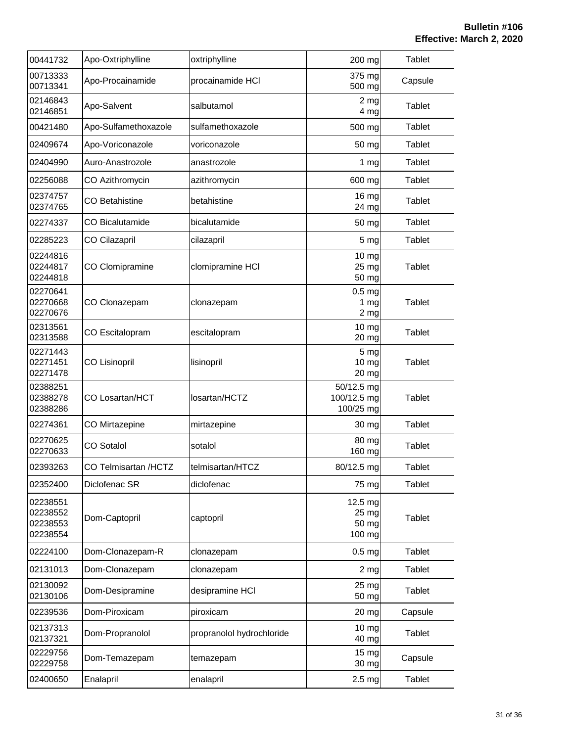| 00441732                                     | Apo-Oxtriphylline      | oxtriphylline             | 200 mg                                                  | Tablet        |
|----------------------------------------------|------------------------|---------------------------|---------------------------------------------------------|---------------|
| 00713333<br>00713341                         | Apo-Procainamide       | procainamide HCI          | 375 mg<br>500 mg                                        | Capsule       |
| 02146843<br>02146851                         | Apo-Salvent            | salbutamol                | 2 <sub>mg</sub><br>4 mg                                 | Tablet        |
| 00421480                                     | Apo-Sulfamethoxazole   | sulfamethoxazole          | 500 mg                                                  | <b>Tablet</b> |
| 02409674                                     | Apo-Voriconazole       | voriconazole              | 50 mg                                                   | Tablet        |
| 02404990                                     | Auro-Anastrozole       | anastrozole               | 1 <sub>mg</sub>                                         | Tablet        |
| 02256088                                     | CO Azithromycin        | azithromycin              | 600 mg                                                  | Tablet        |
| 02374757<br>02374765                         | <b>CO Betahistine</b>  | betahistine               | 16 mg<br>24 mg                                          | Tablet        |
| 02274337                                     | <b>CO Bicalutamide</b> | bicalutamide              | 50 mg                                                   | Tablet        |
| 02285223                                     | CO Cilazapril          | cilazapril                | 5 mg                                                    | Tablet        |
| 02244816<br>02244817<br>02244818             | CO Clomipramine        | clomipramine HCI          | $10$ mg<br>25 mg<br>50 mg                               | Tablet        |
| 02270641<br>02270668<br>02270676             | CO Clonazepam          | clonazepam                | 0.5 <sub>mg</sub><br>1 <sub>mg</sub><br>2 <sub>mg</sub> | Tablet        |
| 02313561<br>02313588                         | CO Escitalopram        | escitalopram              | $10$ mg<br>20 mg                                        | <b>Tablet</b> |
| 02271443<br>02271451<br>02271478             | <b>CO Lisinopril</b>   | lisinopril                | 5 mg<br>10 mg<br>20 mg                                  | Tablet        |
| 02388251<br>02388278<br>02388286             | CO Losartan/HCT        | losartan/HCTZ             | 50/12.5 mg<br>100/12.5 mg<br>100/25 mg                  | Tablet        |
| 02274361                                     | CO Mirtazepine         | mirtazepine               | 30 mg                                                   | Tablet        |
| 02270625<br>02270633                         | <b>CO Sotalol</b>      | sotalol                   | 80 mg<br>160 mg                                         | Tablet        |
| 02393263                                     | CO Telmisartan /HCTZ   | telmisartan/HTCZ          | 80/12.5 mg                                              | Tablet        |
| 02352400                                     | Diclofenac SR          | diclofenac                | 75 mg                                                   | Tablet        |
| 02238551<br>02238552<br>02238553<br>02238554 | Dom-Captopril          | captopril                 | 12.5 mg<br>25 mg<br>50 mg<br>100 mg                     | Tablet        |
| 02224100                                     | Dom-Clonazepam-R       | clonazepam                | $0.5$ mg                                                | Tablet        |
| 02131013                                     | Dom-Clonazepam         | clonazepam                | 2 <sub>mg</sub>                                         | Tablet        |
| 02130092<br>02130106                         | Dom-Desipramine        | desipramine HCI           | 25 mg<br>50 mg                                          | Tablet        |
| 02239536                                     | Dom-Piroxicam          | piroxicam                 | 20 mg                                                   | Capsule       |
| 02137313<br>02137321                         | Dom-Propranolol        | propranolol hydrochloride | 10 mg<br>40 mg                                          | Tablet        |
| 02229756<br>02229758                         | Dom-Temazepam          | temazepam                 | 15 mg<br>30 mg                                          | Capsule       |
| 02400650                                     | Enalapril              | enalapril                 | 2.5 <sub>mg</sub>                                       | Tablet        |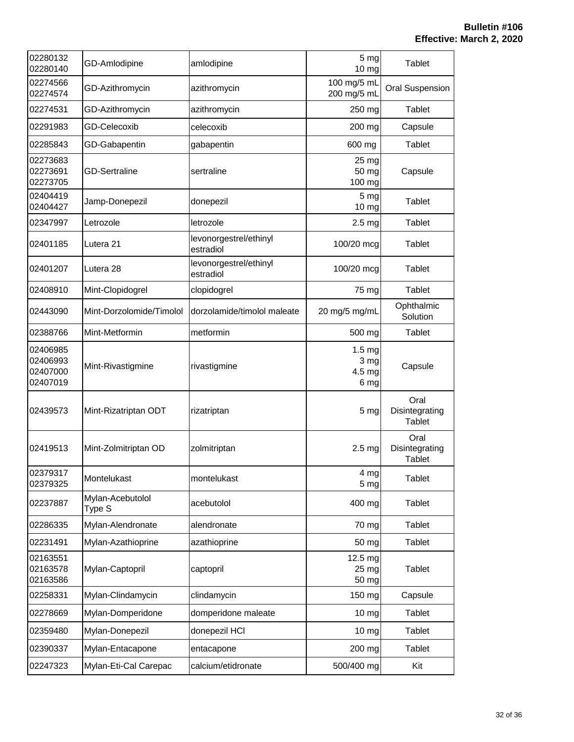| 02280132<br>02280140                         | GD-Amlodipine              | amlodipine                          | 5 mg<br>10 mg                               | <b>Tablet</b>                           |
|----------------------------------------------|----------------------------|-------------------------------------|---------------------------------------------|-----------------------------------------|
| 02274566<br>02274574                         | GD-Azithromycin            | azithromycin                        | 100 mg/5 mL<br>200 mg/5 mL                  | <b>Oral Suspension</b>                  |
| 02274531                                     | GD-Azithromycin            | azithromycin                        | 250 mg                                      | Tablet                                  |
| 02291983                                     | <b>GD-Celecoxib</b>        | celecoxib                           | 200 mg                                      | Capsule                                 |
| 02285843                                     | GD-Gabapentin              | gabapentin                          | 600 mg                                      | Tablet                                  |
| 02273683<br>02273691<br>02273705             | <b>GD-Sertraline</b>       | sertraline                          | 25 mg<br>50 mg<br>100 mg                    | Capsule                                 |
| 02404419<br>02404427                         | Jamp-Donepezil             | donepezil                           | 5 <sub>mg</sub><br>10 mg                    | Tablet                                  |
| 02347997                                     | Letrozole                  | letrozole                           | 2.5 <sub>mg</sub>                           | Tablet                                  |
| 02401185                                     | Lutera 21                  | levonorgestrel/ethinyl<br>estradiol | 100/20 mcg                                  | Tablet                                  |
| 02401207                                     | Lutera 28                  | levonorgestrel/ethinyl<br>estradiol | 100/20 mcg                                  | Tablet                                  |
| 02408910                                     | Mint-Clopidogrel           | clopidogrel                         | 75 mg                                       | <b>Tablet</b>                           |
| 02443090                                     | Mint-Dorzolomide/Timolol   | dorzolamide/timolol maleate         | 20 mg/5 mg/mL                               | Ophthalmic<br>Solution                  |
| 02388766                                     | Mint-Metformin             | metformin                           | 500 mg                                      | Tablet                                  |
| 02406985<br>02406993<br>02407000<br>02407019 | Mint-Rivastigmine          | rivastigmine                        | 1.5 <sub>mg</sub><br>3 mg<br>4.5 mg<br>6 mg | Capsule                                 |
| 02439573                                     | Mint-Rizatriptan ODT       | rizatriptan                         | 5 <sub>mg</sub>                             | Oral<br>Disintegrating<br>Tablet        |
| 02419513                                     | Mint-Zolmitriptan OD       | zolmitriptan                        | 2.5 <sub>mg</sub>                           | Oral<br>Disintegrating<br><b>Tablet</b> |
| 02379317<br>02379325                         | Montelukast                | montelukast                         | 4 mg<br>5 <sub>mg</sub>                     | Tablet                                  |
| 02237887                                     | Mylan-Acebutolol<br>Type S | acebutolol                          | 400 mg                                      | Tablet                                  |
| 02286335                                     | Mylan-Alendronate          | alendronate                         | 70 mg                                       | Tablet                                  |
| 02231491                                     | Mylan-Azathioprine         | azathioprine                        | 50 mg                                       | Tablet                                  |
| 02163551<br>02163578<br>02163586             | Mylan-Captopril            | captopril                           | 12.5 mg<br>25 mg<br>50 mg                   | Tablet                                  |
| 02258331                                     | Mylan-Clindamycin          | clindamycin                         | 150 mg                                      | Capsule                                 |
| 02278669                                     | Mylan-Domperidone          | domperidone maleate                 | $10 \, mg$                                  | Tablet                                  |
| 02359480                                     | Mylan-Donepezil            | donepezil HCI                       | 10 mg                                       | Tablet                                  |
| 02390337                                     | Mylan-Entacapone           | entacapone                          | 200 mg                                      | Tablet                                  |
| 02247323                                     | Mylan-Eti-Cal Carepac      | calcium/etidronate                  | 500/400 mg                                  | Kit                                     |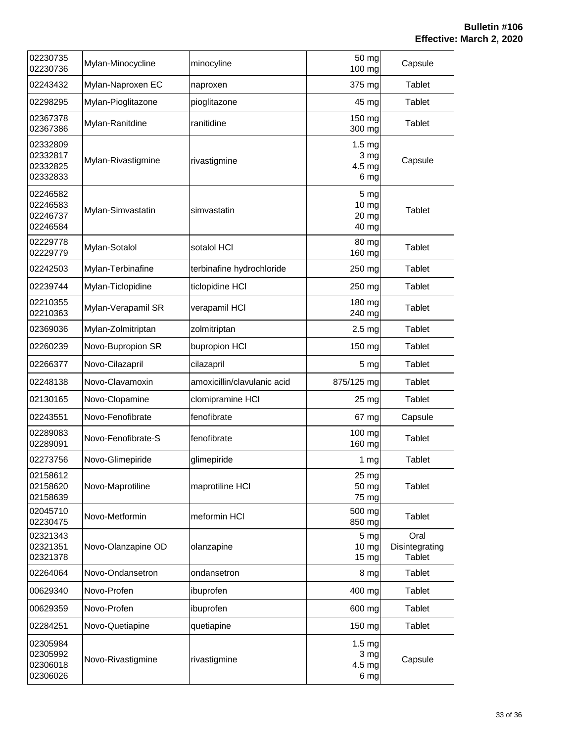| 02230735<br>02230736                         | Mylan-Minocycline  | minocyline                  | 50 mg<br>100 mg                               | Capsule                                 |
|----------------------------------------------|--------------------|-----------------------------|-----------------------------------------------|-----------------------------------------|
| 02243432                                     | Mylan-Naproxen EC  | naproxen                    | 375 mg                                        | Tablet                                  |
| 02298295                                     | Mylan-Pioglitazone | pioglitazone                | 45 mg                                         | Tablet                                  |
| 02367378<br>02367386                         | Mylan-Ranitdine    | ranitidine                  | 150 mg<br>300 mg                              | Tablet                                  |
| 02332809<br>02332817<br>02332825<br>02332833 | Mylan-Rivastigmine | rivastigmine                | 1.5 <sub>mg</sub><br>3 mg<br>$4.5$ mg<br>6 mg | Capsule                                 |
| 02246582<br>02246583<br>02246737<br>02246584 | Mylan-Simvastatin  | simvastatin                 | 5 <sub>mg</sub><br>10 mg<br>20 mg<br>40 mg    | Tablet                                  |
| 02229778<br>02229779                         | Mylan-Sotalol      | sotalol HCI                 | 80 mg<br>160 mg                               | Tablet                                  |
| 02242503                                     | Mylan-Terbinafine  | terbinafine hydrochloride   | 250 mg                                        | Tablet                                  |
| 02239744                                     | Mylan-Ticlopidine  | ticlopidine HCI             | 250 mg                                        | Tablet                                  |
| 02210355<br>02210363                         | Mylan-Verapamil SR | verapamil HCI               | 180 mg<br>240 mg                              | Tablet                                  |
| 02369036                                     | Mylan-Zolmitriptan | zolmitriptan                | 2.5 <sub>mg</sub>                             | Tablet                                  |
| 02260239                                     | Novo-Bupropion SR  | bupropion HCI               | 150 mg                                        | Tablet                                  |
| 02266377                                     | Novo-Cilazapril    | cilazapril                  | 5 <sub>mg</sub>                               | Tablet                                  |
| 02248138                                     | Novo-Clavamoxin    | amoxicillin/clavulanic acid | 875/125 mg                                    | Tablet                                  |
| 02130165                                     | Novo-Clopamine     | clomipramine HCI            | 25 mg                                         | Tablet                                  |
| 02243551                                     | Novo-Fenofibrate   | fenofibrate                 | 67 mg                                         | Capsule                                 |
| 02289083<br>02289091                         | Novo-Fenofibrate-S | fenofibrate                 | 100 mg<br>160 mg                              | Tablet                                  |
| 02273756                                     | Novo-Glimepiride   | glimepiride                 | 1 <sub>mg</sub>                               | Tablet                                  |
| 02158612<br>02158620<br>02158639             | Novo-Maprotiline   | maprotiline HCI             | 25 mg<br>50 mg<br>75 mg                       | <b>Tablet</b>                           |
| 02045710<br>02230475                         | Novo-Metformin     | meformin HCI                | 500 mg<br>850 mg                              | Tablet                                  |
| 02321343<br>02321351<br>02321378             | Novo-Olanzapine OD | olanzapine                  | 5 <sub>mg</sub><br>10 mg<br>15 mg             | Oral<br>Disintegrating<br><b>Tablet</b> |
| 02264064                                     | Novo-Ondansetron   | ondansetron                 | 8 mg                                          | Tablet                                  |
| 00629340                                     | Novo-Profen        | ibuprofen                   | 400 mg                                        | Tablet                                  |
| 00629359                                     | Novo-Profen        | ibuprofen                   | 600 mg                                        | Tablet                                  |
| 02284251                                     | Novo-Quetiapine    | quetiapine                  | 150 mg                                        | Tablet                                  |
| 02305984<br>02305992<br>02306018<br>02306026 | Novo-Rivastigmine  | rivastigmine                | 1.5 <sub>mg</sub><br>3 mg<br>$4.5$ mg<br>6 mg | Capsule                                 |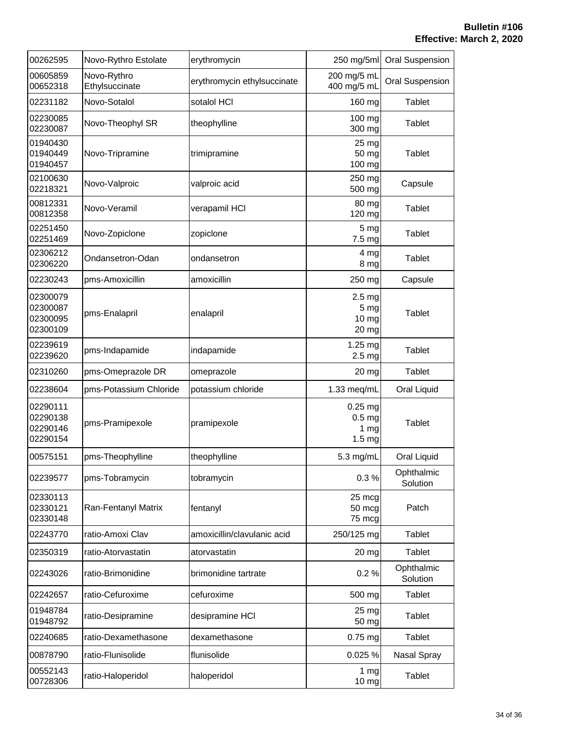| 00262595                                     | Novo-Rythro Estolate          | erythromycin                | 250 mg/5ml                                                             | <b>Oral Suspension</b> |
|----------------------------------------------|-------------------------------|-----------------------------|------------------------------------------------------------------------|------------------------|
| 00605859<br>00652318                         | Novo-Rythro<br>Ethylsuccinate | erythromycin ethylsuccinate | 200 mg/5 mL<br>400 mg/5 mL                                             | <b>Oral Suspension</b> |
| 02231182                                     | Novo-Sotalol                  | sotalol HCI                 | 160 mg                                                                 | <b>Tablet</b>          |
| 02230085<br>02230087                         | Novo-Theophyl SR              | theophylline                | 100 mg<br>300 mg                                                       | Tablet                 |
| 01940430<br>01940449<br>01940457             | Novo-Tripramine               | trimipramine                | 25 mg<br>50 mg<br>100 mg                                               | Tablet                 |
| 02100630<br>02218321                         | Novo-Valproic                 | valproic acid               | 250 mg<br>500 mg                                                       | Capsule                |
| 00812331<br>00812358                         | Novo-Veramil                  | verapamil HCI               | 80 mg<br>120 mg                                                        | Tablet                 |
| 02251450<br>02251469                         | Novo-Zopiclone                | zopiclone                   | 5 mg<br>7.5 mg                                                         | <b>Tablet</b>          |
| 02306212<br>02306220                         | Ondansetron-Odan              | ondansetron                 | 4 mg<br>8 mg                                                           | Tablet                 |
| 02230243                                     | pms-Amoxicillin               | amoxicillin                 | 250 mg                                                                 | Capsule                |
| 02300079<br>02300087<br>02300095<br>02300109 | pms-Enalapril                 | enalapril                   | 2.5 <sub>mg</sub><br>5 mg<br>10 <sub>mg</sub><br>20 mg                 | Tablet                 |
| 02239619<br>02239620                         | pms-Indapamide                | indapamide                  | 1.25 mg<br>2.5 <sub>mg</sub>                                           | <b>Tablet</b>          |
| 02310260                                     | pms-Omeprazole DR             | omeprazole                  | 20 mg                                                                  | Tablet                 |
| 02238604                                     | pms-Potassium Chloride        | potassium chloride          | 1.33 meg/mL                                                            | Oral Liquid            |
| 02290111<br>02290138<br>02290146<br>02290154 | pms-Pramipexole               | pramipexole                 | $0.25$ mg<br>0.5 <sub>mg</sub><br>1 <sub>mg</sub><br>1.5 <sub>mg</sub> | Tablet                 |
| 00575151                                     | pms-Theophylline              | theophylline                | 5.3 mg/mL                                                              | Oral Liquid            |
| 02239577                                     | pms-Tobramycin                | tobramycin                  | 0.3%                                                                   | Ophthalmic<br>Solution |
| 02330113<br>02330121<br>02330148             | Ran-Fentanyl Matrix           | fentanyl                    | 25 mcg<br>50 mcg<br>75 mcg                                             | Patch                  |
| 02243770                                     | ratio-Amoxi Clav              | amoxicillin/clavulanic acid | 250/125 mg                                                             | Tablet                 |
| 02350319                                     | ratio-Atorvastatin            | atorvastatin                | 20 mg                                                                  | Tablet                 |
| 02243026                                     | ratio-Brimonidine             | brimonidine tartrate        | 0.2%                                                                   | Ophthalmic<br>Solution |
| 02242657                                     | ratio-Cefuroxime              | cefuroxime                  | 500 mg                                                                 | <b>Tablet</b>          |
| 01948784<br>01948792                         | ratio-Desipramine             | desipramine HCI             | 25 mg<br>50 mg                                                         | Tablet                 |
| 02240685                                     | ratio-Dexamethasone           | dexamethasone               | $0.75$ mg                                                              | Tablet                 |
| 00878790                                     | ratio-Flunisolide             | flunisolide                 | 0.025 %                                                                | Nasal Spray            |
| 00552143<br>00728306                         | ratio-Haloperidol             | haloperidol                 | $1 \, \text{mg}$<br>10 mg                                              | <b>Tablet</b>          |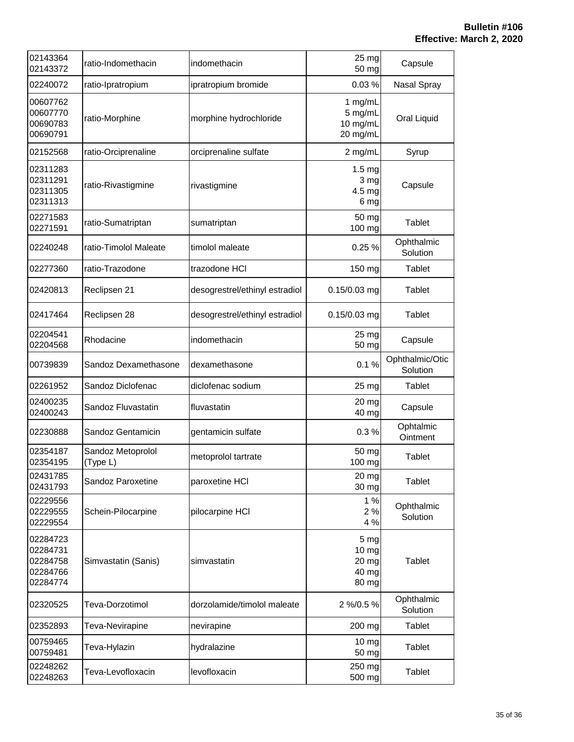| 02143364<br>02143372                                     | ratio-Indomethacin            | indomethacin                   | 25 mg<br>50 mg                                      | Capsule                     |
|----------------------------------------------------------|-------------------------------|--------------------------------|-----------------------------------------------------|-----------------------------|
| 02240072                                                 | ratio-Ipratropium             | ipratropium bromide            | 0.03%                                               | Nasal Spray                 |
| 00607762<br>00607770<br>00690783<br>00690791             | ratio-Morphine                | morphine hydrochloride         | 1 mg/mL<br>5 mg/mL<br>10 mg/mL<br>20 mg/mL          | Oral Liquid                 |
| 02152568                                                 | ratio-Orciprenaline           | orciprenaline sulfate          | 2 mg/mL                                             | Syrup                       |
| 02311283<br>02311291<br>02311305<br>02311313             | ratio-Rivastigmine            | rivastigmine                   | 1.5 <sub>mg</sub><br>3 mg<br>4.5 mg<br>6 mg         | Capsule                     |
| 02271583<br>02271591                                     | ratio-Sumatriptan             | sumatriptan                    | 50 mg<br>100 mg                                     | Tablet                      |
| 02240248                                                 | ratio-Timolol Maleate         | timolol maleate                | 0.25%                                               | Ophthalmic<br>Solution      |
| 02277360                                                 | ratio-Trazodone               | trazodone HCI                  | 150 mg                                              | Tablet                      |
| 02420813                                                 | Reclipsen 21                  | desogrestrel/ethinyl estradiol | $0.15/0.03$ mg                                      | Tablet                      |
| 02417464                                                 | Reclipsen 28                  | desogrestrel/ethinyl estradiol | 0.15/0.03 mg                                        | Tablet                      |
| 02204541<br>02204568                                     | Rhodacine                     | indomethacin                   | 25 mg<br>50 mg                                      | Capsule                     |
| 00739839                                                 | Sandoz Dexamethasone          | dexamethasone                  | 0.1%                                                | Ophthalmic/Otic<br>Solution |
| 02261952                                                 | Sandoz Diclofenac             | diclofenac sodium              | 25 mg                                               | <b>Tablet</b>               |
| 02400235<br>02400243                                     | Sandoz Fluvastatin            | fluvastatin                    | 20 mg<br>40 mg                                      | Capsule                     |
| 02230888                                                 | Sandoz Gentamicin             | gentamicin sulfate             | 0.3%                                                | Ophtalmic<br>Ointment       |
| 02354187<br>02354195                                     | Sandoz Metoprolol<br>(Type L) | metoprolol tartrate            | 50 mg<br>100 mg                                     | <b>Tablet</b>               |
| 02431785<br>02431793                                     | Sandoz Paroxetine             | paroxetine HCI                 | 20 mg<br>30 mg                                      | Tablet                      |
| 02229556<br>02229555<br>02229554                         | Schein-Pilocarpine            | pilocarpine HCI                | 1%<br>2%<br>4 %                                     | Ophthalmic<br>Solution      |
| 02284723<br>02284731<br>02284758<br>02284766<br>02284774 | Simvastatin (Sanis)           | simvastatin                    | 5 <sub>mg</sub><br>10 mg<br>20 mg<br>40 mg<br>80 mg | <b>Tablet</b>               |
| 02320525                                                 | Teva-Dorzotimol               | dorzolamide/timolol maleate    | 2 %/0.5 %                                           | Ophthalmic<br>Solution      |
| 02352893                                                 | Teva-Nevirapine               | nevirapine                     | 200 mg                                              | Tablet                      |
| 00759465<br>00759481                                     | Teva-Hylazin                  | hydralazine                    | 10 <sub>mg</sub><br>50 mg                           | Tablet                      |
| 02248262<br>02248263                                     | Teva-Levofloxacin             | levofloxacin                   | 250 mg<br>500 mg                                    | <b>Tablet</b>               |